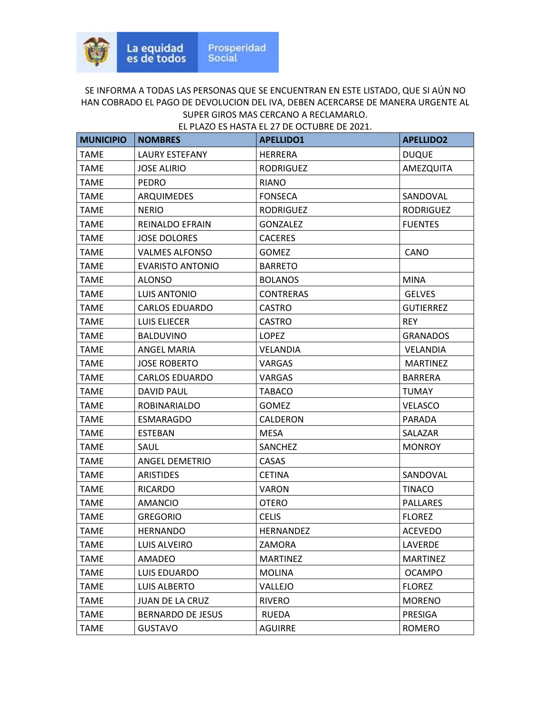| <b>MUNICIPIO</b> | <b>NOMBRES</b>           | <b>APELLIDO1</b> | <b>APELLIDO2</b> |
|------------------|--------------------------|------------------|------------------|
| <b>TAME</b>      | <b>LAURY ESTEFANY</b>    | <b>HERRERA</b>   | <b>DUQUE</b>     |
| <b>TAME</b>      | <b>JOSE ALIRIO</b>       | <b>RODRIGUEZ</b> | AMEZQUITA        |
| <b>TAME</b>      | <b>PEDRO</b>             | <b>RIANO</b>     |                  |
| <b>TAME</b>      | ARQUIMEDES               | <b>FONSECA</b>   | SANDOVAL         |
| TAME             | <b>NERIO</b>             | <b>RODRIGUEZ</b> | <b>RODRIGUEZ</b> |
| <b>TAME</b>      | <b>REINALDO EFRAIN</b>   | <b>GONZALEZ</b>  | <b>FUENTES</b>   |
| <b>TAME</b>      | <b>JOSE DOLORES</b>      | <b>CACERES</b>   |                  |
| <b>TAME</b>      | <b>VALMES ALFONSO</b>    | <b>GOMEZ</b>     | CANO             |
| <b>TAME</b>      | <b>EVARISTO ANTONIO</b>  | <b>BARRETO</b>   |                  |
| <b>TAME</b>      | ALONSO                   | <b>BOLANOS</b>   | <b>MINA</b>      |
| <b>TAME</b>      | <b>LUIS ANTONIO</b>      | <b>CONTRERAS</b> | <b>GELVES</b>    |
| <b>TAME</b>      | <b>CARLOS EDUARDO</b>    | <b>CASTRO</b>    | <b>GUTIERREZ</b> |
| <b>TAME</b>      | <b>LUIS ELIECER</b>      | <b>CASTRO</b>    | <b>REY</b>       |
| <b>TAME</b>      | <b>BALDUVINO</b>         | <b>LOPEZ</b>     | <b>GRANADOS</b>  |
| <b>TAME</b>      | ANGEL MARIA              | <b>VELANDIA</b>  | <b>VELANDIA</b>  |
| TAME             | <b>JOSE ROBERTO</b>      | VARGAS           | <b>MARTINEZ</b>  |
| TAME             | <b>CARLOS EDUARDO</b>    | VARGAS           | <b>BARRERA</b>   |
| <b>TAME</b>      | <b>DAVID PAUL</b>        | <b>TABACO</b>    | <b>TUMAY</b>     |
| <b>TAME</b>      | <b>ROBINARIALDO</b>      | <b>GOMEZ</b>     | <b>VELASCO</b>   |
| <b>TAME</b>      | <b>ESMARAGDO</b>         | CALDERON         | PARADA           |
| <b>TAME</b>      | <b>ESTEBAN</b>           | <b>MESA</b>      | SALAZAR          |
| TAME             | SAUL                     | <b>SANCHEZ</b>   | <b>MONROY</b>    |
| <b>TAME</b>      | <b>ANGEL DEMETRIO</b>    | CASAS            |                  |
| <b>TAME</b>      | <b>ARISTIDES</b>         | <b>CETINA</b>    | SANDOVAL         |
| <b>TAME</b>      | <b>RICARDO</b>           | <b>VARON</b>     | <b>TINACO</b>    |
| <b>TAME</b>      | <b>AMANCIO</b>           | <b>OTERO</b>     | <b>PALLARES</b>  |
| <b>TAME</b>      | <b>GREGORIO</b>          | <b>CELIS</b>     | <b>FLOREZ</b>    |
| <b>TAME</b>      | <b>HERNANDO</b>          | <b>HERNANDEZ</b> | <b>ACEVEDO</b>   |
| <b>TAME</b>      | LUIS ALVEIRO             | ZAMORA           | LAVERDE          |
| <b>TAME</b>      | AMADEO                   | <b>MARTINEZ</b>  | <b>MARTINEZ</b>  |
| <b>TAME</b>      | LUIS EDUARDO             | <b>MOLINA</b>    | <b>OCAMPO</b>    |
| <b>TAME</b>      | <b>LUIS ALBERTO</b>      | VALLEJO          | <b>FLOREZ</b>    |
| <b>TAME</b>      | <b>JUAN DE LA CRUZ</b>   | <b>RIVERO</b>    | <b>MORENO</b>    |
| <b>TAME</b>      | <b>BERNARDO DE JESUS</b> | RUEDA            | PRESIGA          |
| <b>TAME</b>      | <b>GUSTAVO</b>           | <b>AGUIRRE</b>   | <b>ROMERO</b>    |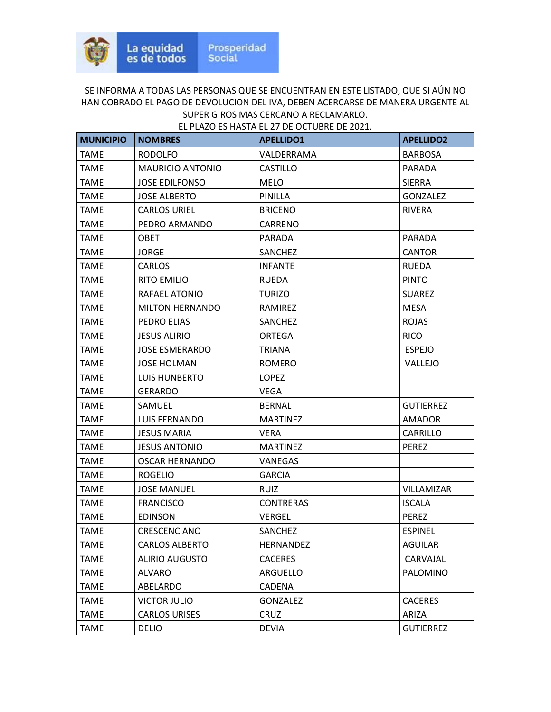| <b>MUNICIPIO</b> | <b>NOMBRES</b>          | <b>APELLIDO1</b> | <b>APELLIDO2</b> |
|------------------|-------------------------|------------------|------------------|
| <b>TAME</b>      | <b>RODOLFO</b>          | VALDERRAMA       | <b>BARBOSA</b>   |
| TAME             | <b>MAURICIO ANTONIO</b> | <b>CASTILLO</b>  | <b>PARADA</b>    |
| <b>TAME</b>      | <b>JOSE EDILFONSO</b>   | <b>MELO</b>      | <b>SIERRA</b>    |
| <b>TAME</b>      | <b>JOSE ALBERTO</b>     | PINILLA          | <b>GONZALEZ</b>  |
| TAME             | <b>CARLOS URIEL</b>     | <b>BRICENO</b>   | RIVERA           |
| <b>TAME</b>      | PEDRO ARMANDO           | CARRENO          |                  |
| TAME             | <b>OBET</b>             | <b>PARADA</b>    | <b>PARADA</b>    |
| <b>TAME</b>      | <b>JORGE</b>            | SANCHEZ          | <b>CANTOR</b>    |
| TAME             | <b>CARLOS</b>           | <b>INFANTE</b>   | <b>RUEDA</b>     |
| <b>TAME</b>      | <b>RITO EMILIO</b>      | RUEDA            | <b>PINTO</b>     |
| <b>TAME</b>      | RAFAEL ATONIO           | <b>TURIZO</b>    | <b>SUAREZ</b>    |
| TAME             | <b>MILTON HERNANDO</b>  | RAMIREZ          | <b>MESA</b>      |
| <b>TAME</b>      | PEDRO ELIAS             | <b>SANCHEZ</b>   | <b>ROJAS</b>     |
| <b>TAME</b>      | <b>JESUS ALIRIO</b>     | <b>ORTEGA</b>    | <b>RICO</b>      |
| <b>TAME</b>      | <b>JOSE ESMERARDO</b>   | <b>TRIANA</b>    | <b>ESPEJO</b>    |
| <b>TAME</b>      | <b>JOSE HOLMAN</b>      | <b>ROMERO</b>    | VALLEJO          |
| <b>TAME</b>      | LUIS HUNBERTO           | <b>LOPEZ</b>     |                  |
| <b>TAME</b>      | <b>GERARDO</b>          | <b>VEGA</b>      |                  |
| TAME             | SAMUEL                  | <b>BERNAL</b>    | <b>GUTIERREZ</b> |
| <b>TAME</b>      | <b>LUIS FERNANDO</b>    | <b>MARTINEZ</b>  | AMADOR           |
| <b>TAME</b>      | <b>JESUS MARIA</b>      | <b>VERA</b>      | <b>CARRILLO</b>  |
| <b>TAME</b>      | <b>JESUS ANTONIO</b>    | <b>MARTINEZ</b>  | <b>PEREZ</b>     |
| <b>TAME</b>      | <b>OSCAR HERNANDO</b>   | <b>VANEGAS</b>   |                  |
| <b>TAME</b>      | <b>ROGELIO</b>          | <b>GARCIA</b>    |                  |
| <b>TAME</b>      | <b>JOSE MANUEL</b>      | <b>RUIZ</b>      | VILLAMIZAR       |
| <b>TAME</b>      | <b>FRANCISCO</b>        | <b>CONTRERAS</b> | <b>ISCALA</b>    |
| TAME             | <b>EDINSON</b>          | VERGEL           | PEREZ            |
| <b>TAME</b>      | <b>CRESCENCIANO</b>     | <b>SANCHEZ</b>   | <b>ESPINEL</b>   |
| <b>TAME</b>      | <b>CARLOS ALBERTO</b>   | <b>HERNANDEZ</b> | <b>AGUILAR</b>   |
| <b>TAME</b>      | <b>ALIRIO AUGUSTO</b>   | <b>CACERES</b>   | CARVAJAL         |
| <b>TAME</b>      | <b>ALVARO</b>           | ARGUELLO         | PALOMINO         |
| <b>TAME</b>      | ABELARDO                | CADENA           |                  |
| <b>TAME</b>      | <b>VICTOR JULIO</b>     | <b>GONZALEZ</b>  | <b>CACERES</b>   |
| <b>TAME</b>      | <b>CARLOS URISES</b>    | CRUZ             | ARIZA            |
| <b>TAME</b>      | <b>DELIO</b>            | <b>DEVIA</b>     | <b>GUTIERREZ</b> |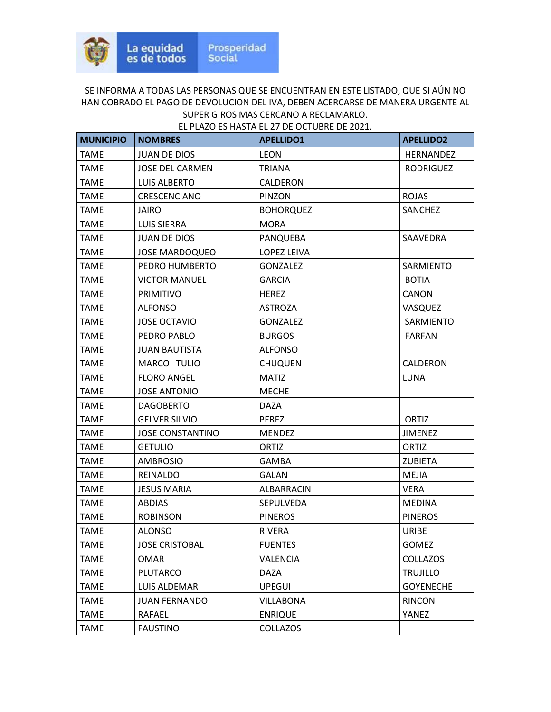| <b>MUNICIPIO</b> | <b>NOMBRES</b>          | <b>APELLIDO1</b> | <b>APELLIDO2</b> |
|------------------|-------------------------|------------------|------------------|
| <b>TAME</b>      | <b>JUAN DE DIOS</b>     | <b>LEON</b>      | HERNANDEZ        |
| <b>TAME</b>      | <b>JOSE DEL CARMEN</b>  | <b>TRIANA</b>    | <b>RODRIGUEZ</b> |
| <b>TAME</b>      | LUIS ALBERTO            | CALDERON         |                  |
| <b>TAME</b>      | CRESCENCIANO            | PINZON           | <b>ROJAS</b>     |
| TAME             | JAIRO                   | <b>BOHORQUEZ</b> | SANCHEZ          |
| <b>TAME</b>      | <b>LUIS SIERRA</b>      | <b>MORA</b>      |                  |
| TAME             | <b>JUAN DE DIOS</b>     | PANQUEBA         | SAAVEDRA         |
| <b>TAME</b>      | <b>JOSE MARDOQUEO</b>   | LOPEZ LEIVA      |                  |
| <b>TAME</b>      | PEDRO HUMBERTO          | <b>GONZALEZ</b>  | <b>SARMIENTO</b> |
| TAME             | <b>VICTOR MANUEL</b>    | <b>GARCIA</b>    | <b>BOTIA</b>     |
| <b>TAME</b>      | <b>PRIMITIVO</b>        | <b>HEREZ</b>     | CANON            |
| <b>TAME</b>      | <b>ALFONSO</b>          | <b>ASTROZA</b>   | VASQUEZ          |
| <b>TAME</b>      | <b>JOSE OCTAVIO</b>     | <b>GONZALEZ</b>  | SARMIENTO        |
| <b>TAME</b>      | PEDRO PABLO             | <b>BURGOS</b>    | <b>FARFAN</b>    |
| <b>TAME</b>      | <b>JUAN BAUTISTA</b>    | <b>ALFONSO</b>   |                  |
| <b>TAME</b>      | MARCO TULIO             | <b>CHUQUEN</b>   | CALDERON         |
| <b>TAME</b>      | <b>FLORO ANGEL</b>      | <b>MATIZ</b>     | LUNA             |
| <b>TAME</b>      | <b>JOSE ANTONIO</b>     | <b>MECHE</b>     |                  |
| TAME             | <b>DAGOBERTO</b>        | DAZA             |                  |
| <b>TAME</b>      | <b>GELVER SILVIO</b>    | <b>PEREZ</b>     | ORTIZ            |
| <b>TAME</b>      | <b>JOSE CONSTANTINO</b> | <b>MENDEZ</b>    | <b>JIMENEZ</b>   |
| <b>TAME</b>      | <b>GETULIO</b>          | <b>ORTIZ</b>     | ORTIZ            |
| <b>TAME</b>      | <b>AMBROSIO</b>         | <b>GAMBA</b>     | <b>ZUBIETA</b>   |
| <b>TAME</b>      | REINALDO                | GALAN            | <b>MEJIA</b>     |
| <b>TAME</b>      | <b>JESUS MARIA</b>      | ALBARRACIN       | <b>VERA</b>      |
| <b>TAME</b>      | <b>ABDIAS</b>           | SEPULVEDA        | <b>MEDINA</b>    |
| <b>TAME</b>      | <b>ROBINSON</b>         | <b>PINEROS</b>   | <b>PINEROS</b>   |
| <b>TAME</b>      | <b>ALONSO</b>           | <b>RIVERA</b>    | <b>URIBE</b>     |
| <b>TAME</b>      | <b>JOSE CRISTOBAL</b>   | <b>FUENTES</b>   | <b>GOMEZ</b>     |
| <b>TAME</b>      | <b>OMAR</b>             | <b>VALENCIA</b>  | <b>COLLAZOS</b>  |
| <b>TAME</b>      | <b>PLUTARCO</b>         | DAZA             | <b>TRUJILLO</b>  |
| <b>TAME</b>      | LUIS ALDEMAR            | <b>UPEGUI</b>    | <b>GOYENECHE</b> |
| <b>TAME</b>      | <b>JUAN FERNANDO</b>    | <b>VILLABONA</b> | <b>RINCON</b>    |
| <b>TAME</b>      | RAFAEL                  | <b>ENRIQUE</b>   | YANEZ            |
| <b>TAME</b>      | <b>FAUSTINO</b>         | <b>COLLAZOS</b>  |                  |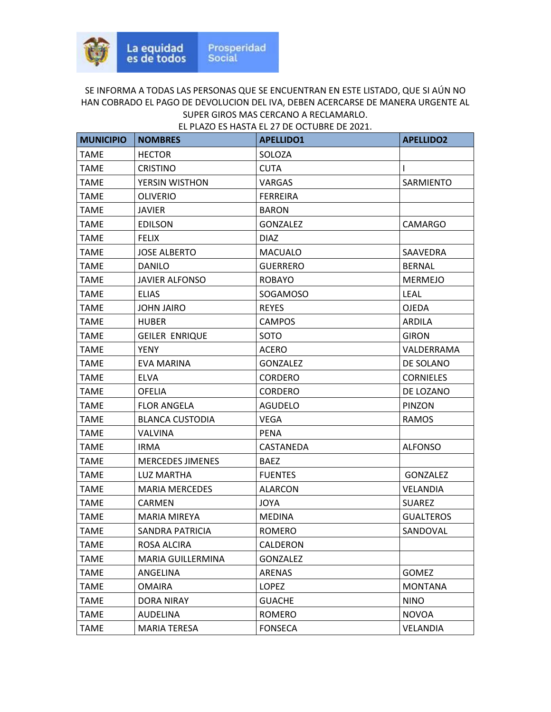| <b>MUNICIPIO</b> | <b>NOMBRES</b>           | <b>APELLIDO1</b> | <b>APELLIDO2</b> |
|------------------|--------------------------|------------------|------------------|
| <b>TAME</b>      | <b>HECTOR</b>            | SOLOZA           |                  |
| <b>TAME</b>      | <b>CRISTINO</b>          | <b>CUTA</b>      | $\mathsf{I}$     |
| <b>TAME</b>      | YERSIN WISTHON           | VARGAS           | SARMIENTO        |
| <b>TAME</b>      | <b>OLIVERIO</b>          | <b>FERREIRA</b>  |                  |
| <b>TAME</b>      | <b>JAVIER</b>            | <b>BARON</b>     |                  |
| <b>TAME</b>      | <b>EDILSON</b>           | <b>GONZALEZ</b>  | CAMARGO          |
| TAME             | <b>FELIX</b>             | <b>DIAZ</b>      |                  |
| <b>TAME</b>      | <b>JOSE ALBERTO</b>      | <b>MACUALO</b>   | SAAVEDRA         |
| <b>TAME</b>      | <b>DANILO</b>            | <b>GUERRERO</b>  | <b>BERNAL</b>    |
| <b>TAME</b>      | <b>JAVIER ALFONSO</b>    | <b>ROBAYO</b>    | <b>MERMEJO</b>   |
| TAME             | <b>ELIAS</b>             | SOGAMOSO         | <b>LEAL</b>      |
| <b>TAME</b>      | <b>JOHN JAIRO</b>        | <b>REYES</b>     | <b>OJEDA</b>     |
| <b>TAME</b>      | <b>HUBER</b>             | <b>CAMPOS</b>    | ARDILA           |
| <b>TAME</b>      | <b>GEILER ENRIQUE</b>    | SOTO             | <b>GIRON</b>     |
| TAME             | <b>YENY</b>              | <b>ACERO</b>     | VALDERRAMA       |
| <b>TAME</b>      | EVA MARINA               | <b>GONZALEZ</b>  | DE SOLANO        |
| TAME             | <b>ELVA</b>              | <b>CORDERO</b>   | <b>CORNIELES</b> |
| <b>TAME</b>      | <b>OFELIA</b>            | <b>CORDERO</b>   | DE LOZANO        |
| <b>TAME</b>      | <b>FLOR ANGELA</b>       | <b>AGUDELO</b>   | <b>PINZON</b>    |
| <b>TAME</b>      | <b>BLANCA CUSTODIA</b>   | VEGA             | <b>RAMOS</b>     |
| <b>TAME</b>      | <b>VALVINA</b>           | <b>PENA</b>      |                  |
| <b>TAME</b>      | IRMA.                    | CASTANEDA        | <b>ALFONSO</b>   |
| TAME             | <b>MERCEDES JIMENES</b>  | <b>BAEZ</b>      |                  |
| TAME             | LUZ MARTHA               | <b>FUENTES</b>   | <b>GONZALEZ</b>  |
| <b>TAME</b>      | <b>MARIA MERCEDES</b>    | <b>ALARCON</b>   | <b>VELANDIA</b>  |
| <b>TAME</b>      | CARMEN                   | <b>JOYA</b>      | <b>SUAREZ</b>    |
| <b>TAME</b>      | <b>MARIA MIREYA</b>      | <b>MEDINA</b>    | <b>GUALTEROS</b> |
| <b>TAME</b>      | <b>SANDRA PATRICIA</b>   | <b>ROMERO</b>    | SANDOVAL         |
| <b>TAME</b>      | ROSA ALCIRA              | CALDERON         |                  |
| <b>TAME</b>      | <b>MARIA GUILLERMINA</b> | <b>GONZALEZ</b>  |                  |
| <b>TAME</b>      | ANGELINA                 | ARENAS           | <b>GOMEZ</b>     |
| <b>TAME</b>      | <b>OMAIRA</b>            | <b>LOPEZ</b>     | <b>MONTANA</b>   |
| <b>TAME</b>      | <b>DORA NIRAY</b>        | <b>GUACHE</b>    | <b>NINO</b>      |
| TAME             | AUDELINA                 | ROMERO           | <b>NOVOA</b>     |
| <b>TAME</b>      | <b>MARIA TERESA</b>      | <b>FONSECA</b>   | <b>VELANDIA</b>  |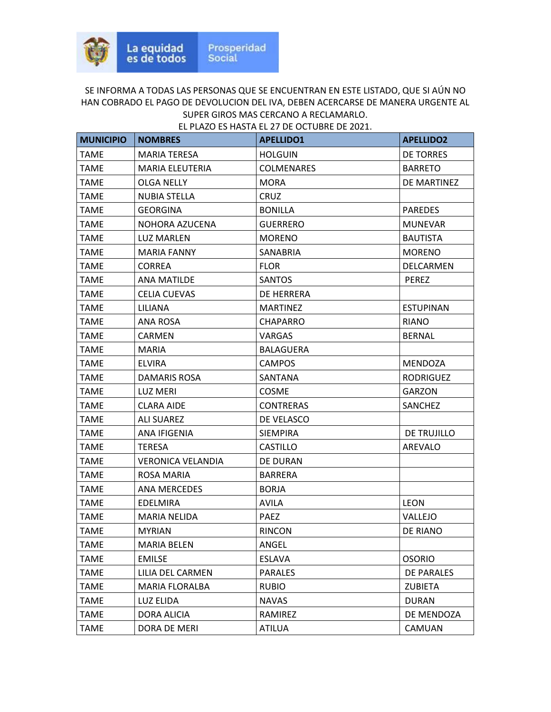| <b>MUNICIPIO</b> | <b>NOMBRES</b>           | <b>APELLIDO1</b>  | <b>APELLIDO2</b> |
|------------------|--------------------------|-------------------|------------------|
| <b>TAME</b>      | <b>MARIA TERESA</b>      | <b>HOLGUIN</b>    | <b>DE TORRES</b> |
| TAME             | <b>MARIA ELEUTERIA</b>   | <b>COLMENARES</b> | <b>BARRETO</b>   |
| TAME             | <b>OLGA NELLY</b>        | <b>MORA</b>       | DE MARTINEZ      |
| <b>TAME</b>      | <b>NUBIA STELLA</b>      | <b>CRUZ</b>       |                  |
| TAME             | <b>GEORGINA</b>          | <b>BONILLA</b>    | <b>PAREDES</b>   |
| <b>TAME</b>      | NOHORA AZUCENA           | <b>GUERRERO</b>   | <b>MUNEVAR</b>   |
| TAME             | <b>LUZ MARLEN</b>        | <b>MORENO</b>     | <b>BAUTISTA</b>  |
| <b>TAME</b>      | <b>MARIA FANNY</b>       | SANABRIA          | <b>MORENO</b>    |
| <b>TAME</b>      | <b>CORREA</b>            | <b>FLOR</b>       | DELCARMEN        |
| <b>TAME</b>      | ANA MATILDE              | SANTOS            | <b>PEREZ</b>     |
| <b>TAME</b>      | <b>CELIA CUEVAS</b>      | DE HERRERA        |                  |
| TAME             | LILIANA                  | <b>MARTINEZ</b>   | <b>ESTUPINAN</b> |
| <b>TAME</b>      | ANA ROSA                 | <b>CHAPARRO</b>   | <b>RIANO</b>     |
| <b>TAME</b>      | CARMEN                   | VARGAS            | <b>BERNAL</b>    |
| TAME             | <b>MARIA</b>             | <b>BALAGUERA</b>  |                  |
| <b>TAME</b>      | <b>ELVIRA</b>            | <b>CAMPOS</b>     | <b>MENDOZA</b>   |
| TAME             | DAMARIS ROSA             | SANTANA           | <b>RODRIGUEZ</b> |
| <b>TAME</b>      | <b>LUZ MERI</b>          | <b>COSME</b>      | <b>GARZON</b>    |
| TAME             | <b>CLARA AIDE</b>        | <b>CONTRERAS</b>  | <b>SANCHEZ</b>   |
| <b>TAME</b>      | <b>ALI SUAREZ</b>        | DE VELASCO        |                  |
| TAME             | ANA IFIGENIA             | <b>SIEMPIRA</b>   | DE TRUJILLO      |
| TAME             | <b>TERESA</b>            | CASTILLO          | AREVALO          |
| <b>TAME</b>      | <b>VERONICA VELANDIA</b> | DE DURAN          |                  |
| TAME             | ROSA MARIA               | <b>BARRERA</b>    |                  |
| <b>TAME</b>      | <b>ANA MERCEDES</b>      | <b>BORJA</b>      |                  |
| <b>TAME</b>      | EDELMIRA                 | <b>AVILA</b>      | <b>LEON</b>      |
| TAME             | <b>MARIA NELIDA</b>      | <b>PAEZ</b>       | VALLEJO          |
| <b>TAME</b>      | <b>MYRIAN</b>            | <b>RINCON</b>     | DE RIANO         |
| TAME             | <b>MARIA BELEN</b>       | ANGEL             |                  |
| <b>TAME</b>      | <b>EMILSE</b>            | <b>ESLAVA</b>     | <b>OSORIO</b>    |
| <b>TAME</b>      | LILIA DEL CARMEN         | <b>PARALES</b>    | DE PARALES       |
| <b>TAME</b>      | <b>MARIA FLORALBA</b>    | <b>RUBIO</b>      | <b>ZUBIETA</b>   |
| <b>TAME</b>      | LUZ ELIDA                | <b>NAVAS</b>      | <b>DURAN</b>     |
| <b>TAME</b>      | DORA ALICIA              | RAMIREZ           | DE MENDOZA       |
| <b>TAME</b>      | DORA DE MERI             | <b>ATILUA</b>     | CAMUAN           |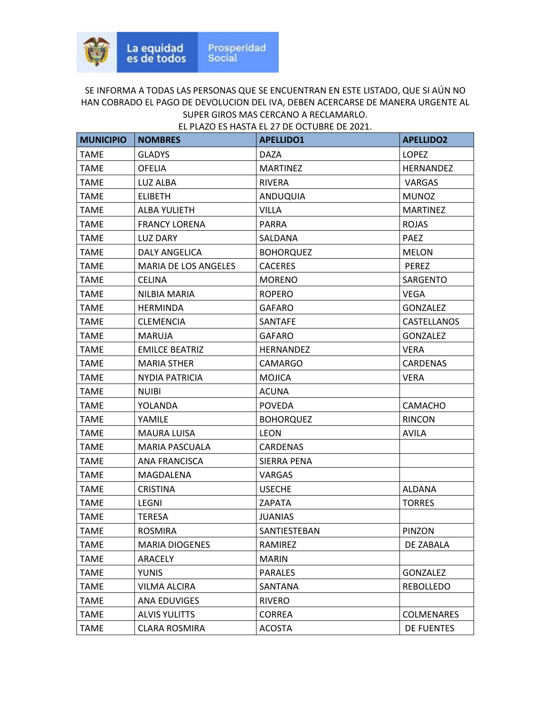| <b>MUNICIPIO</b> | <b>NOMBRES</b>        | <b>APELLIDO1</b> | <b>APELLIDO2</b>   |
|------------------|-----------------------|------------------|--------------------|
| <b>TAME</b>      | <b>GLADYS</b>         | <b>DAZA</b>      | <b>LOPEZ</b>       |
| <b>TAME</b>      | <b>OFELIA</b>         | <b>MARTINEZ</b>  | <b>HERNANDEZ</b>   |
| <b>TAME</b>      | LUZ ALBA              | <b>RIVERA</b>    | <b>VARGAS</b>      |
| <b>TAME</b>      | <b>ELIBETH</b>        | ANDUQUIA         | <b>MUNOZ</b>       |
| <b>TAME</b>      | ALBA YULIETH          | VILLA            | <b>MARTINEZ</b>    |
| <b>TAME</b>      | <b>FRANCY LORENA</b>  | <b>PARRA</b>     | <b>ROJAS</b>       |
| <b>TAME</b>      | <b>LUZ DARY</b>       | SALDANA          | <b>PAEZ</b>        |
| TAME             | DALY ANGELICA         | <b>BOHORQUEZ</b> | <b>MELON</b>       |
| <b>TAME</b>      | MARIA DE LOS ANGELES  | <b>CACERES</b>   | <b>PEREZ</b>       |
| <b>TAME</b>      | <b>CELINA</b>         | <b>MORENO</b>    | <b>SARGENTO</b>    |
| <b>TAME</b>      | NILBIA MARIA          | <b>ROPERO</b>    | <b>VEGA</b>        |
| <b>TAME</b>      | <b>HERMINDA</b>       | <b>GAFARO</b>    | <b>GONZALEZ</b>    |
| <b>TAME</b>      | <b>CLEMENCIA</b>      | <b>SANTAFE</b>   | <b>CASTELLANOS</b> |
| <b>TAME</b>      | <b>MARUJA</b>         | <b>GAFARO</b>    | <b>GONZALEZ</b>    |
| <b>TAME</b>      | <b>EMILCE BEATRIZ</b> | <b>HERNANDEZ</b> | <b>VERA</b>        |
| <b>TAME</b>      | <b>MARIA STHER</b>    | <b>CAMARGO</b>   | <b>CARDENAS</b>    |
| TAME             | NYDIA PATRICIA        | <b>MOJICA</b>    | <b>VERA</b>        |
| <b>TAME</b>      | <b>NUIBI</b>          | <b>ACUNA</b>     |                    |
| <b>TAME</b>      | YOLANDA               | <b>POVEDA</b>    | <b>CAMACHO</b>     |
| TAME             | YAMILE                | <b>BOHORQUEZ</b> | <b>RINCON</b>      |
| <b>TAME</b>      | <b>MAURA LUISA</b>    | <b>LEON</b>      | <b>AVILA</b>       |
| <b>TAME</b>      | <b>MARIA PASCUALA</b> | <b>CARDENAS</b>  |                    |
| <b>TAME</b>      | ANA FRANCISCA         | SIERRA PENA      |                    |
| TAME             | MAGDALENA             | VARGAS           |                    |
| <b>TAME</b>      | <b>CRISTINA</b>       | <b>USECHE</b>    | <b>ALDANA</b>      |
| <b>TAME</b>      | LEGNI                 | ZAPATA           | <b>TORRES</b>      |
| <b>TAME</b>      | TERESA                | <b>JUANIAS</b>   |                    |
| <b>TAME</b>      | <b>ROSMIRA</b>        | SANTIESTEBAN     | PINZON             |
| <b>TAME</b>      | <b>MARIA DIOGENES</b> | RAMIREZ          | DE ZABALA          |
| <b>TAME</b>      | ARACELY               | <b>MARIN</b>     |                    |
| <b>TAME</b>      | YUNIS                 | <b>PARALES</b>   | <b>GONZALEZ</b>    |
| <b>TAME</b>      | VILMA ALCIRA          | SANTANA          | REBOLLEDO          |
| <b>TAME</b>      | ANA EDUVIGES          | <b>RIVERO</b>    |                    |
| <b>TAME</b>      | <b>ALVIS YULITTS</b>  | <b>CORREA</b>    | <b>COLMENARES</b>  |
| <b>TAME</b>      | CLARA ROSMIRA         | <b>ACOSTA</b>    | <b>DE FUENTES</b>  |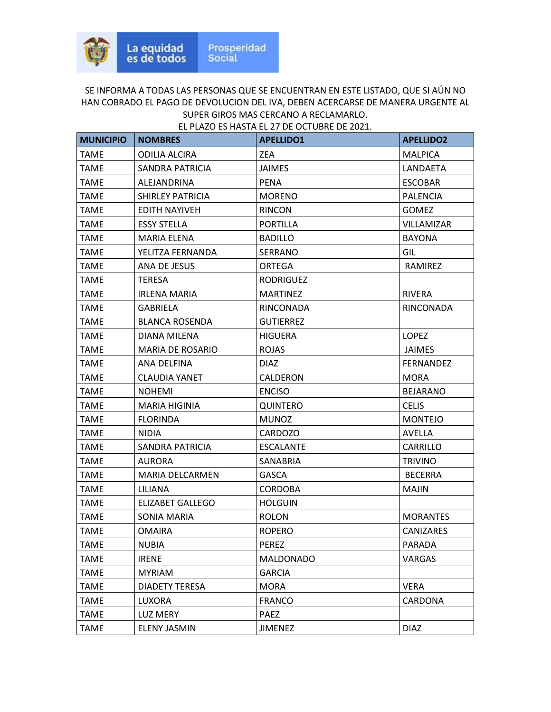| <b>MUNICIPIO</b> | <b>NOMBRES</b>          | <b>APELLIDO1</b> | <b>APELLIDO2</b> |
|------------------|-------------------------|------------------|------------------|
| <b>TAME</b>      | <b>ODILIA ALCIRA</b>    | <b>ZEA</b>       | <b>MALPICA</b>   |
| <b>TAME</b>      | SANDRA PATRICIA         | <b>JAIMES</b>    | LANDAETA         |
| <b>TAME</b>      | ALEJANDRINA             | <b>PENA</b>      | <b>ESCOBAR</b>   |
| <b>TAME</b>      | <b>SHIRLEY PATRICIA</b> | <b>MORENO</b>    | <b>PALENCIA</b>  |
| TAME             | EDITH NAYIVEH           | <b>RINCON</b>    | <b>GOMEZ</b>     |
| <b>TAME</b>      | <b>ESSY STELLA</b>      | <b>PORTILLA</b>  | VILLAMIZAR       |
| <b>TAME</b>      | <b>MARIA ELENA</b>      | <b>BADILLO</b>   | <b>BAYONA</b>    |
| <b>TAME</b>      | YELITZA FERNANDA        | SERRANO          | GIL              |
| <b>TAME</b>      | ANA DE JESUS            | <b>ORTEGA</b>    | RAMIREZ          |
| <b>TAME</b>      | <b>TERESA</b>           | <b>RODRIGUEZ</b> |                  |
| TAME             | <b>IRLENA MARIA</b>     | <b>MARTINEZ</b>  | <b>RIVERA</b>    |
| <b>TAME</b>      | <b>GABRIELA</b>         | RINCONADA        | RINCONADA        |
| <b>TAME</b>      | <b>BLANCA ROSENDA</b>   | <b>GUTIERREZ</b> |                  |
| <b>TAME</b>      | DIANA MILENA            | <b>HIGUERA</b>   | <b>LOPEZ</b>     |
| <b>TAME</b>      | <b>MARIA DE ROSARIO</b> | <b>ROJAS</b>     | <b>JAIMES</b>    |
| TAME             | ANA DELFINA             | <b>DIAZ</b>      | <b>FERNANDEZ</b> |
| TAME             | <b>CLAUDIA YANET</b>    | CALDERON         | <b>MORA</b>      |
| <b>TAME</b>      | <b>NOHEMI</b>           | <b>ENCISO</b>    | <b>BEJARANO</b>  |
| <b>TAME</b>      | <b>MARIA HIGINIA</b>    | QUINTERO         | <b>CELIS</b>     |
| <b>TAME</b>      | <b>FLORINDA</b>         | <b>MUNOZ</b>     | <b>MONTEJO</b>   |
| <b>TAME</b>      | <b>NIDIA</b>            | <b>CARDOZO</b>   | AVELLA           |
| TAME             | SANDRA PATRICIA         | <b>ESCALANTE</b> | CARRILLO         |
| TAME             | <b>AURORA</b>           | SANABRIA         | <b>TRIVINO</b>   |
| <b>TAME</b>      | <b>MARIA DELCARMEN</b>  | <b>GASCA</b>     | <b>BECERRA</b>   |
| <b>TAME</b>      | LILIANA                 | <b>CORDOBA</b>   | <b>MAJIN</b>     |
| <b>TAME</b>      | <b>ELIZABET GALLEGO</b> | <b>HOLGUIN</b>   |                  |
| <b>TAME</b>      | SONIA MARIA             | <b>ROLON</b>     | <b>MORANTES</b>  |
| <b>TAME</b>      | <b>OMAIRA</b>           | <b>ROPERO</b>    | <b>CANIZARES</b> |
| <b>TAME</b>      | <b>NUBIA</b>            | <b>PEREZ</b>     | PARADA           |
| <b>TAME</b>      | <b>IRENE</b>            | <b>MALDONADO</b> | VARGAS           |
| <b>TAME</b>      | <b>MYRIAM</b>           | <b>GARCIA</b>    |                  |
| <b>TAME</b>      | DIADETY TERESA          | <b>MORA</b>      | <b>VERA</b>      |
| <b>TAME</b>      | LUXORA                  | <b>FRANCO</b>    | CARDONA          |
| <b>TAME</b>      | LUZ MERY                | PAEZ             |                  |
| <b>TAME</b>      | <b>ELENY JASMIN</b>     | <b>JIMENEZ</b>   | <b>DIAZ</b>      |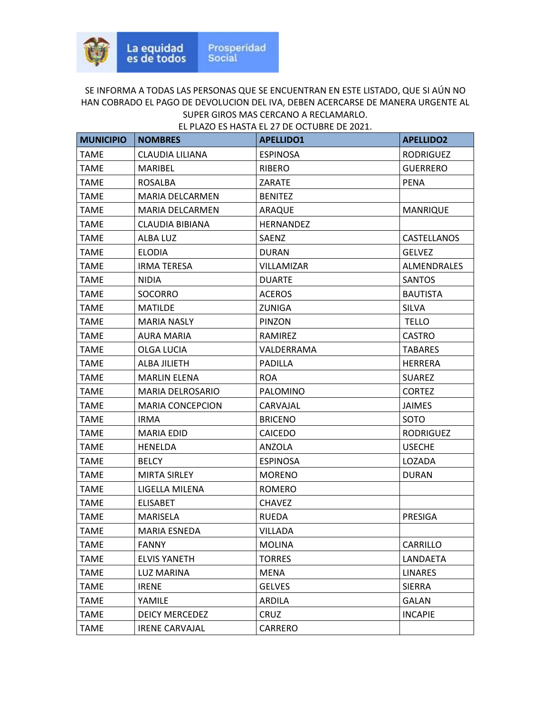| <b>MUNICIPIO</b> | <b>NOMBRES</b>          | <b>APELLIDO1</b> | <b>APELLIDO2</b>   |
|------------------|-------------------------|------------------|--------------------|
| <b>TAME</b>      | CLAUDIA LILIANA         | <b>ESPINOSA</b>  | <b>RODRIGUEZ</b>   |
| <b>TAME</b>      | <b>MARIBEL</b>          | <b>RIBERO</b>    | <b>GUERRERO</b>    |
| TAME             | <b>ROSALBA</b>          | <b>ZARATE</b>    | <b>PENA</b>        |
| <b>TAME</b>      | MARIA DELCARMEN         | <b>BENITEZ</b>   |                    |
| TAME             | <b>MARIA DELCARMEN</b>  | ARAQUE           | <b>MANRIQUE</b>    |
| <b>TAME</b>      | <b>CLAUDIA BIBIANA</b>  | <b>HERNANDEZ</b> |                    |
| TAME             | ALBA LUZ                | SAENZ            | CASTELLANOS        |
| TAME             | <b>ELODIA</b>           | <b>DURAN</b>     | <b>GELVEZ</b>      |
| <b>TAME</b>      | <b>IRMA TERESA</b>      | VILLAMIZAR       | <b>ALMENDRALES</b> |
| TAME             | NIDIA                   | <b>DUARTE</b>    | <b>SANTOS</b>      |
| <b>TAME</b>      | <b>SOCORRO</b>          | <b>ACEROS</b>    | <b>BAUTISTA</b>    |
| TAME             | <b>MATILDE</b>          | ZUNIGA           | <b>SILVA</b>       |
| <b>TAME</b>      | <b>MARIA NASLY</b>      | PINZON           | <b>TELLO</b>       |
| <b>TAME</b>      | <b>AURA MARIA</b>       | RAMIREZ          | <b>CASTRO</b>      |
| <b>TAME</b>      | <b>OLGA LUCIA</b>       | VALDERRAMA       | <b>TABARES</b>     |
| <b>TAME</b>      | ALBA JILIETH            | <b>PADILLA</b>   | <b>HERRERA</b>     |
| TAME             | <b>MARLIN ELENA</b>     | <b>ROA</b>       | <b>SUAREZ</b>      |
| <b>TAME</b>      | MARIA DELROSARIO        | PALOMINO         | <b>CORTEZ</b>      |
| TAME             | <b>MARIA CONCEPCION</b> | CARVAJAL         | <b>JAIMES</b>      |
| TAME             | <b>IRMA</b>             | <b>BRICENO</b>   | SOTO               |
| <b>TAME</b>      | <b>MARIA EDID</b>       | <b>CAICEDO</b>   | <b>RODRIGUEZ</b>   |
| TAME             | <b>HENELDA</b>          | ANZOLA           | <b>USECHE</b>      |
| <b>TAME</b>      | <b>BELCY</b>            | <b>ESPINOSA</b>  | LOZADA             |
| TAME             | MIRTA SIRLEY            | <b>MORENO</b>    | <b>DURAN</b>       |
| <b>TAME</b>      | LIGELLA MILENA          | ROMERO           |                    |
| <b>TAME</b>      | <b>ELISABET</b>         | <b>CHAVEZ</b>    |                    |
| TAME             | MARISELA                | <b>RUEDA</b>     | PRESIGA            |
| <b>TAME</b>      | <b>MARIA ESNEDA</b>     | VILLADA          |                    |
| <b>TAME</b>      | <b>FANNY</b>            | <b>MOLINA</b>    | CARRILLO           |
| <b>TAME</b>      | <b>ELVIS YANETH</b>     | <b>TORRES</b>    | LANDAETA           |
| <b>TAME</b>      | LUZ MARINA              | <b>MENA</b>      | <b>LINARES</b>     |
| <b>TAME</b>      | <b>IRENE</b>            | <b>GELVES</b>    | <b>SIERRA</b>      |
| <b>TAME</b>      | YAMILE                  | ARDILA           | <b>GALAN</b>       |
| <b>TAME</b>      | <b>DEICY MERCEDEZ</b>   | CRUZ             | <b>INCAPIE</b>     |
| <b>TAME</b>      | <b>IRENE CARVAJAL</b>   | CARRERO          |                    |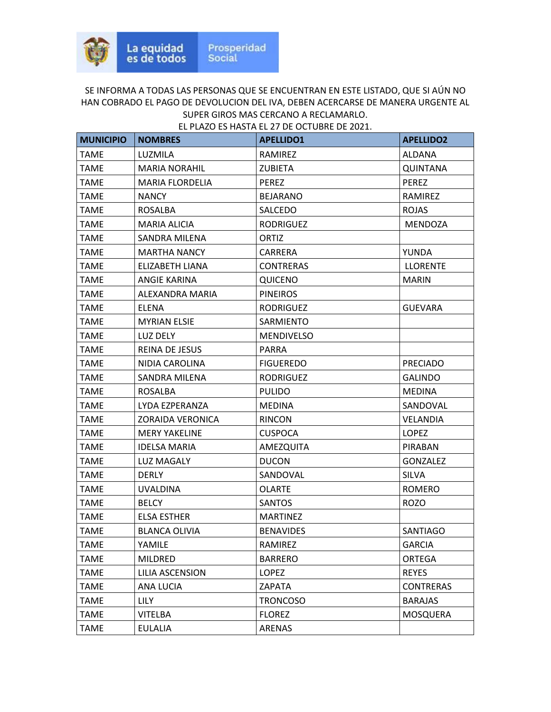| <b>MUNICIPIO</b> | <b>NOMBRES</b>          | <b>APELLIDO1</b>  | <b>APELLIDO2</b> |
|------------------|-------------------------|-------------------|------------------|
| <b>TAME</b>      | LUZMILA                 | RAMIREZ           | <b>ALDANA</b>    |
| <b>TAME</b>      | <b>MARIA NORAHIL</b>    | <b>ZUBIETA</b>    | <b>QUINTANA</b>  |
| <b>TAME</b>      | MARIA FLORDELIA         | <b>PEREZ</b>      | <b>PEREZ</b>     |
| <b>TAME</b>      | <b>NANCY</b>            | <b>BEJARANO</b>   | RAMIREZ          |
| TAME             | <b>ROSALBA</b>          | SALCEDO           | <b>ROJAS</b>     |
| <b>TAME</b>      | <b>MARIA ALICIA</b>     | <b>RODRIGUEZ</b>  | <b>MENDOZA</b>   |
| <b>TAME</b>      | SANDRA MILENA           | <b>ORTIZ</b>      |                  |
| <b>TAME</b>      | <b>MARTHA NANCY</b>     | CARRERA           | YUNDA            |
| TAME             | ELIZABETH LIANA         | <b>CONTRERAS</b>  | <b>LLORENTE</b>  |
| TAME             | ANGIE KARINA            | <b>QUICENO</b>    | <b>MARIN</b>     |
| <b>TAME</b>      | ALEXANDRA MARIA         | <b>PINEIROS</b>   |                  |
| <b>TAME</b>      | ELENA                   | <b>RODRIGUEZ</b>  | <b>GUEVARA</b>   |
| <b>TAME</b>      | <b>MYRIAN ELSIE</b>     | SARMIENTO         |                  |
| <b>TAME</b>      | LUZ DELY                | <b>MENDIVELSO</b> |                  |
| <b>TAME</b>      | <b>REINA DE JESUS</b>   | <b>PARRA</b>      |                  |
| <b>TAME</b>      | NIDIA CAROLINA          | <b>FIGUEREDO</b>  | <b>PRECIADO</b>  |
| TAME             | SANDRA MILENA           | <b>RODRIGUEZ</b>  | <b>GALINDO</b>   |
| <b>TAME</b>      | ROSALBA                 | <b>PULIDO</b>     | <b>MEDINA</b>    |
| <b>TAME</b>      | LYDA EZPERANZA          | MEDINA            | SANDOVAL         |
| <b>TAME</b>      | <b>ZORAIDA VERONICA</b> | RINCON            | <b>VELANDIA</b>  |
| TAME             | <b>MERY YAKELINE</b>    | <b>CUSPOCA</b>    | LOPEZ            |
| TAME             | <b>IDELSA MARIA</b>     | AMEZQUITA         | <b>PIRABAN</b>   |
| <b>TAME</b>      | <b>LUZ MAGALY</b>       | <b>DUCON</b>      | <b>GONZALEZ</b>  |
| TAME             | DERLY                   | SANDOVAL          | <b>SILVA</b>     |
| <b>TAME</b>      | <b>UVALDINA</b>         | <b>OLARTE</b>     | <b>ROMERO</b>    |
| <b>TAME</b>      | <b>BELCY</b>            | <b>SANTOS</b>     | <b>ROZO</b>      |
| TAME             | <b>ELSA ESTHER</b>      | <b>MARTINEZ</b>   |                  |
| <b>TAME</b>      | <b>BLANCA OLIVIA</b>    | <b>BENAVIDES</b>  | <b>SANTIAGO</b>  |
| <b>TAME</b>      | YAMILE                  | RAMIREZ           | <b>GARCIA</b>    |
| <b>TAME</b>      | MILDRED                 | <b>BARRERO</b>    | ORTEGA           |
| <b>TAME</b>      | LILIA ASCENSION         | <b>LOPEZ</b>      | <b>REYES</b>     |
| <b>TAME</b>      | ANA LUCIA               | ZAPATA            | <b>CONTRERAS</b> |
| <b>TAME</b>      | <b>LILY</b>             | <b>TRONCOSO</b>   | <b>BARAJAS</b>   |
| <b>TAME</b>      | <b>VITELBA</b>          | <b>FLOREZ</b>     | MOSQUERA         |
| <b>TAME</b>      | <b>EULALIA</b>          | ARENAS            |                  |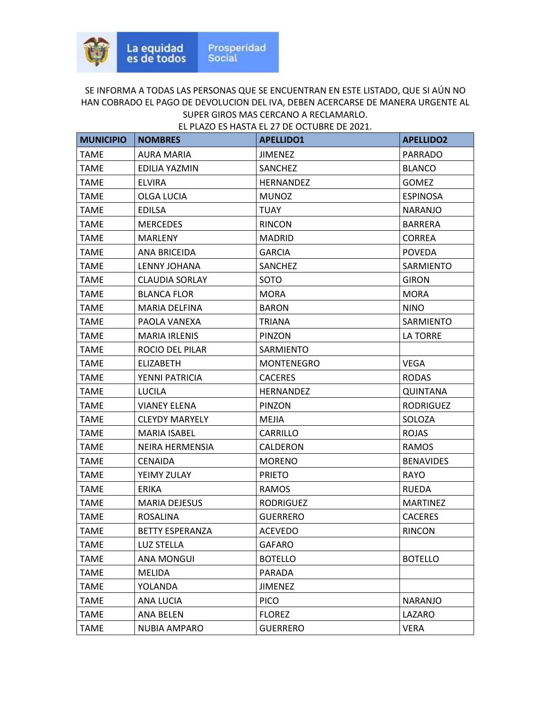| <b>MUNICIPIO</b> | <b>NOMBRES</b>         | <b>APELLIDO1</b>  | <b>APELLIDO2</b> |
|------------------|------------------------|-------------------|------------------|
| <b>TAME</b>      | <b>AURA MARIA</b>      | <b>JIMENEZ</b>    | <b>PARRADO</b>   |
| <b>TAME</b>      | EDILIA YAZMIN          | <b>SANCHEZ</b>    | <b>BLANCO</b>    |
| TAME             | <b>ELVIRA</b>          | <b>HERNANDEZ</b>  | <b>GOMEZ</b>     |
| <b>TAME</b>      | <b>OLGA LUCIA</b>      | <b>MUNOZ</b>      | <b>ESPINOSA</b>  |
| TAME             | <b>EDILSA</b>          | <b>TUAY</b>       | <b>NARANJO</b>   |
| <b>TAME</b>      | <b>MERCEDES</b>        | <b>RINCON</b>     | <b>BARRERA</b>   |
| <b>TAME</b>      | MARLENY                | <b>MADRID</b>     | <b>CORREA</b>    |
| <b>TAME</b>      | ANA BRICEIDA           | <b>GARCIA</b>     | <b>POVEDA</b>    |
| <b>TAME</b>      | LENNY JOHANA           | SANCHEZ           | SARMIENTO        |
| TAME             | <b>CLAUDIA SORLAY</b>  | SOTO              | <b>GIRON</b>     |
| <b>TAME</b>      | <b>BLANCA FLOR</b>     | <b>MORA</b>       | <b>MORA</b>      |
| <b>TAME</b>      | <b>MARIA DELFINA</b>   | <b>BARON</b>      | <b>NINO</b>      |
| <b>TAME</b>      | PAOLA VANEXA           | <b>TRIANA</b>     | SARMIENTO        |
| <b>TAME</b>      | <b>MARIA IRLENIS</b>   | PINZON            | <b>LA TORRE</b>  |
| TAME             | ROCIO DEL PILAR        | SARMIENTO         |                  |
| <b>TAME</b>      | <b>ELIZABETH</b>       | <b>MONTENEGRO</b> | <b>VEGA</b>      |
| TAME             | YENNI PATRICIA         | <b>CACERES</b>    | <b>RODAS</b>     |
| <b>TAME</b>      | LUCILA                 | HERNANDEZ         | QUINTANA         |
| <b>TAME</b>      | <b>VIANEY ELENA</b>    | PINZON            | <b>RODRIGUEZ</b> |
| <b>TAME</b>      | <b>CLEYDY MARYELY</b>  | MEJIA             | SOLOZA           |
| TAME             | <b>MARIA ISABEL</b>    | CARRILLO          | <b>ROJAS</b>     |
| TAME             | NEIRA HERMENSIA        | CALDERON          | <b>RAMOS</b>     |
| <b>TAME</b>      | <b>CENAIDA</b>         | <b>MORENO</b>     | <b>BENAVIDES</b> |
| TAME             | YEIMY ZULAY            | <b>PRIETO</b>     | RAYO             |
| <b>TAME</b>      | ERIKA                  | <b>RAMOS</b>      | <b>RUEDA</b>     |
| <b>TAME</b>      | <b>MARIA DEJESUS</b>   | <b>RODRIGUEZ</b>  | <b>MARTINEZ</b>  |
| TAME             | <b>ROSALINA</b>        | <b>GUERRERO</b>   | <b>CACERES</b>   |
| <b>TAME</b>      | <b>BETTY ESPERANZA</b> | <b>ACEVEDO</b>    | <b>RINCON</b>    |
| <b>TAME</b>      | <b>LUZ STELLA</b>      | <b>GAFARO</b>     |                  |
| <b>TAME</b>      | ANA MONGUI             | <b>BOTELLO</b>    | <b>BOTELLO</b>   |
| <b>TAME</b>      | <b>MELIDA</b>          | PARADA            |                  |
| <b>TAME</b>      | YOLANDA                | <b>JIMENEZ</b>    |                  |
| <b>TAME</b>      | ANA LUCIA              | <b>PICO</b>       | NARANJO          |
| <b>TAME</b>      | <b>ANA BELEN</b>       | <b>FLOREZ</b>     | LAZARO           |
| <b>TAME</b>      | NUBIA AMPARO           | <b>GUERRERO</b>   | <b>VERA</b>      |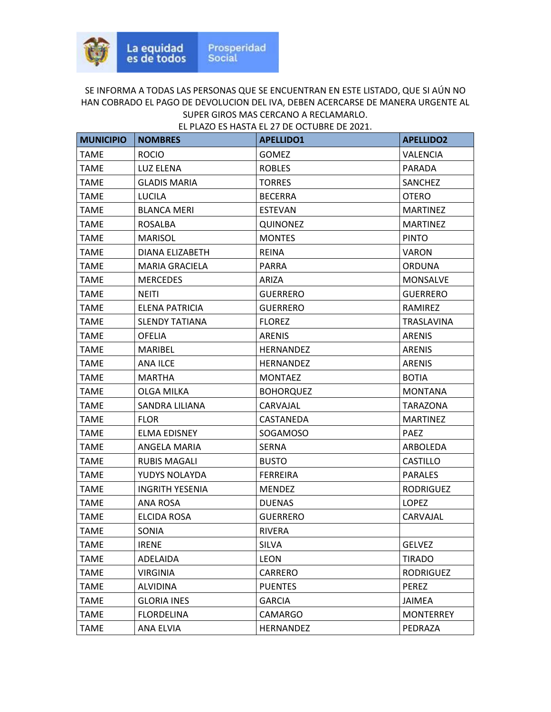| <b>MUNICIPIO</b> | <b>NOMBRES</b>        | <b>APELLIDO1</b> | <b>APELLIDO2</b> |
|------------------|-----------------------|------------------|------------------|
| <b>TAME</b>      | <b>ROCIO</b>          | <b>GOMEZ</b>     | <b>VALENCIA</b>  |
| <b>TAME</b>      | LUZ ELENA             | <b>ROBLES</b>    | <b>PARADA</b>    |
| TAME             | <b>GLADIS MARIA</b>   | <b>TORRES</b>    | SANCHEZ          |
| <b>TAME</b>      | <b>LUCILA</b>         | <b>BECERRA</b>   | <b>OTERO</b>     |
| <b>TAME</b>      | <b>BLANCA MERI</b>    | <b>ESTEVAN</b>   | <b>MARTINEZ</b>  |
| <b>TAME</b>      | <b>ROSALBA</b>        | <b>QUINONEZ</b>  | <b>MARTINEZ</b>  |
| <b>TAME</b>      | <b>MARISOL</b>        | <b>MONTES</b>    | <b>PINTO</b>     |
| <b>TAME</b>      | DIANA ELIZABETH       | <b>REINA</b>     | <b>VARON</b>     |
| <b>TAME</b>      | <b>MARIA GRACIELA</b> | <b>PARRA</b>     | <b>ORDUNA</b>    |
| TAME             | <b>MERCEDES</b>       | ARIZA            | <b>MONSALVE</b>  |
| <b>TAME</b>      | <b>NEITI</b>          | <b>GUERRERO</b>  | <b>GUERRERO</b>  |
| <b>TAME</b>      | ELENA PATRICIA        | <b>GUERRERO</b>  | RAMIREZ          |
| <b>TAME</b>      | <b>SLENDY TATIANA</b> | <b>FLOREZ</b>    | TRASLAVINA       |
| <b>TAME</b>      | <b>OFELIA</b>         | <b>ARENIS</b>    | <b>ARENIS</b>    |
| TAME             | MARIBEL               | HERNANDEZ        | <b>ARENIS</b>    |
| <b>TAME</b>      | <b>ANA ILCE</b>       | <b>HERNANDEZ</b> | <b>ARENIS</b>    |
| TAME             | <b>MARTHA</b>         | <b>MONTAEZ</b>   | <b>BOTIA</b>     |
| <b>TAME</b>      | OLGA MILKA            | <b>BOHORQUEZ</b> | <b>MONTANA</b>   |
| <b>TAME</b>      | SANDRA LILIANA        | CARVAJAL         | TARAZONA         |
| <b>TAME</b>      | <b>FLOR</b>           | CASTANEDA        | <b>MARTINEZ</b>  |
| TAME             | <b>ELMA EDISNEY</b>   | SOGAMOSO         | <b>PAEZ</b>      |
| TAME             | ANGELA MARIA          | <b>SERNA</b>     | ARBOLEDA         |
| <b>TAME</b>      | <b>RUBIS MAGALI</b>   | <b>BUSTO</b>     | <b>CASTILLO</b>  |
| TAME             | YUDYS NOLAYDA         | <b>FERREIRA</b>  | <b>PARALES</b>   |
| <b>TAME</b>      | INGRITH YESENIA       | <b>MENDEZ</b>    | <b>RODRIGUEZ</b> |
| <b>TAME</b>      | ANA ROSA              | <b>DUENAS</b>    | <b>LOPEZ</b>     |
| TAME             | ELCIDA ROSA           | <b>GUERRERO</b>  | CARVAJAL         |
| <b>TAME</b>      | <b>SONIA</b>          | <b>RIVERA</b>    |                  |
| <b>TAME</b>      | <b>IRENE</b>          | <b>SILVA</b>     | <b>GELVEZ</b>    |
| <b>TAME</b>      | ADELAIDA              | <b>LEON</b>      | <b>TIRADO</b>    |
| <b>TAME</b>      | <b>VIRGINIA</b>       | CARRERO          | <b>RODRIGUEZ</b> |
| <b>TAME</b>      | <b>ALVIDINA</b>       | <b>PUENTES</b>   | PEREZ            |
| <b>TAME</b>      | <b>GLORIA INES</b>    | <b>GARCIA</b>    | JAIMEA           |
| <b>TAME</b>      | <b>FLORDELINA</b>     | <b>CAMARGO</b>   | <b>MONTERREY</b> |
| <b>TAME</b>      | ANA ELVIA             | <b>HERNANDEZ</b> | PEDRAZA          |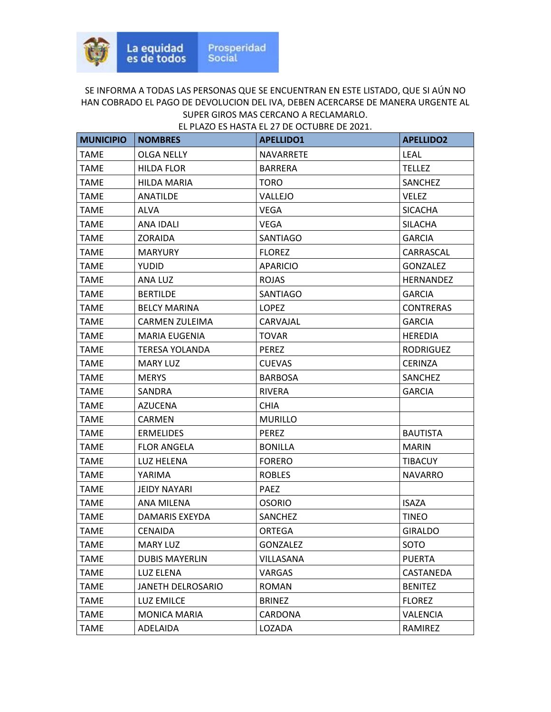| <b>MUNICIPIO</b> | <b>NOMBRES</b>        | <b>APELLIDO1</b> | <b>APELLIDO2</b> |
|------------------|-----------------------|------------------|------------------|
| <b>TAME</b>      | OLGA NELLY            | <b>NAVARRETE</b> | <b>LEAL</b>      |
| <b>TAME</b>      | <b>HILDA FLOR</b>     | <b>BARRERA</b>   | <b>TELLEZ</b>    |
| <b>TAME</b>      | <b>HILDA MARIA</b>    | <b>TORO</b>      | SANCHEZ          |
| <b>TAME</b>      | <b>ANATILDE</b>       | VALLEJO          | <b>VELEZ</b>     |
| <b>TAME</b>      | ALVA                  | VEGA             | <b>SICACHA</b>   |
| <b>TAME</b>      | ANA IDALI             | <b>VEGA</b>      | <b>SILACHA</b>   |
| <b>TAME</b>      | <b>ZORAIDA</b>        | SANTIAGO         | <b>GARCIA</b>    |
| TAME             | <b>MARYURY</b>        | <b>FLOREZ</b>    | CARRASCAL        |
| <b>TAME</b>      | <b>YUDID</b>          | <b>APARICIO</b>  | <b>GONZALEZ</b>  |
| <b>TAME</b>      | ANA LUZ               | <b>ROJAS</b>     | <b>HERNANDEZ</b> |
| <b>TAME</b>      | <b>BERTILDE</b>       | SANTIAGO         | <b>GARCIA</b>    |
| <b>TAME</b>      | <b>BELCY MARINA</b>   | <b>LOPEZ</b>     | <b>CONTRERAS</b> |
| <b>TAME</b>      | CARMEN ZULEIMA        | CARVAJAL         | <b>GARCIA</b>    |
| <b>TAME</b>      | MARIA EUGENIA         | <b>TOVAR</b>     | <b>HEREDIA</b>   |
| <b>TAME</b>      | TERESA YOLANDA        | <b>PEREZ</b>     | <b>RODRIGUEZ</b> |
| <b>TAME</b>      | <b>MARY LUZ</b>       | <b>CUEVAS</b>    | <b>CERINZA</b>   |
| <b>TAME</b>      | <b>MERYS</b>          | <b>BARBOSA</b>   | <b>SANCHEZ</b>   |
| <b>TAME</b>      | <b>SANDRA</b>         | <b>RIVERA</b>    | <b>GARCIA</b>    |
| <b>TAME</b>      | <b>AZUCENA</b>        | <b>CHIA</b>      |                  |
| TAME             | CARMEN                | <b>MURILLO</b>   |                  |
| <b>TAME</b>      | <b>ERMELIDES</b>      | <b>PEREZ</b>     | <b>BAUTISTA</b>  |
| <b>TAME</b>      | <b>FLOR ANGELA</b>    | <b>BONILLA</b>   | <b>MARIN</b>     |
| <b>TAME</b>      | LUZ HELENA            | <b>FORERO</b>    | <b>TIBACUY</b>   |
| <b>TAME</b>      | YARIMA                | <b>ROBLES</b>    | <b>NAVARRO</b>   |
| <b>TAME</b>      | <b>JEIDY NAYARI</b>   | PAEZ             |                  |
| <b>TAME</b>      | ANA MILENA            | <b>OSORIO</b>    | <b>ISAZA</b>     |
| <b>TAME</b>      | DAMARIS EXEYDA        | SANCHEZ          | TINEO            |
| <b>TAME</b>      | <b>CENAIDA</b>        | <b>ORTEGA</b>    | <b>GIRALDO</b>   |
| <b>TAME</b>      | <b>MARY LUZ</b>       | <b>GONZALEZ</b>  | SOTO             |
| <b>TAME</b>      | <b>DUBIS MAYERLIN</b> | VILLASANA        | <b>PUERTA</b>    |
| TAME             | LUZ ELENA             | VARGAS           | CASTANEDA        |
| <b>TAME</b>      | JANETH DELROSARIO     | ROMAN            | <b>BENITEZ</b>   |
| <b>TAME</b>      | <b>LUZ EMILCE</b>     | <b>BRINEZ</b>    | <b>FLOREZ</b>    |
| TAME             | <b>MONICA MARIA</b>   | CARDONA          | VALENCIA         |
| <b>TAME</b>      | ADELAIDA              | LOZADA           | RAMIREZ          |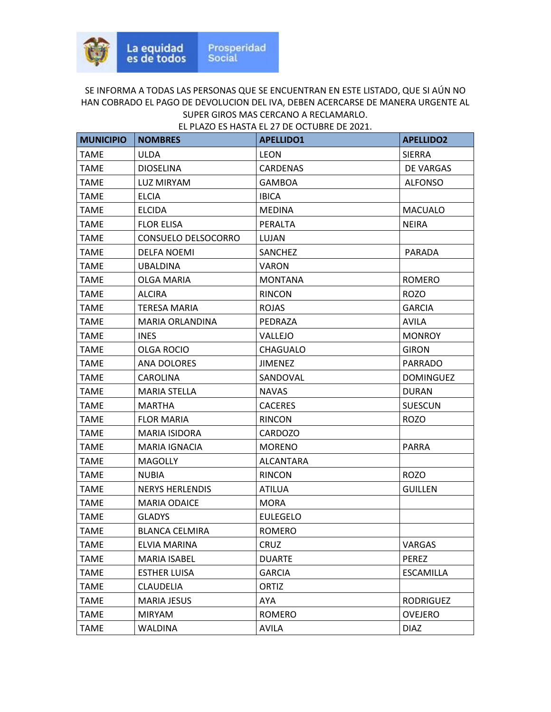| <b>MUNICIPIO</b> | <b>NOMBRES</b>         | <b>APELLIDO1</b> | <b>APELLIDO2</b> |
|------------------|------------------------|------------------|------------------|
| <b>TAME</b>      | <b>ULDA</b>            | <b>LEON</b>      | <b>SIERRA</b>    |
| <b>TAME</b>      | <b>DIOSELINA</b>       | <b>CARDENAS</b>  | DE VARGAS        |
| TAME             | LUZ MIRYAM             | <b>GAMBOA</b>    | <b>ALFONSO</b>   |
| <b>TAME</b>      | <b>ELCIA</b>           | <b>IBICA</b>     |                  |
| TAME             | <b>ELCIDA</b>          | <b>MEDINA</b>    | <b>MACUALO</b>   |
| <b>TAME</b>      | <b>FLOR ELISA</b>      | PERALTA          | <b>NEIRA</b>     |
| <b>TAME</b>      | CONSUELO DELSOCORRO    | LUJAN            |                  |
| <b>TAME</b>      | <b>DELFA NOEMI</b>     | <b>SANCHEZ</b>   | <b>PARADA</b>    |
| <b>TAME</b>      | <b>UBALDINA</b>        | <b>VARON</b>     |                  |
| TAME             | OLGA MARIA             | <b>MONTANA</b>   | <b>ROMERO</b>    |
| <b>TAME</b>      | <b>ALCIRA</b>          | <b>RINCON</b>    | <b>ROZO</b>      |
| <b>TAME</b>      | TERESA MARIA           | <b>ROJAS</b>     | <b>GARCIA</b>    |
| <b>TAME</b>      | MARIA ORLANDINA        | PEDRAZA          | <b>AVILA</b>     |
| <b>TAME</b>      | <b>INES</b>            | VALLEJO          | <b>MONROY</b>    |
| TAME             | <b>OLGA ROCIO</b>      | CHAGUALO         | <b>GIRON</b>     |
| <b>TAME</b>      | <b>ANA DOLORES</b>     | <b>JIMENEZ</b>   | <b>PARRADO</b>   |
| TAME             | CAROLINA               | SANDOVAL         | <b>DOMINGUEZ</b> |
| <b>TAME</b>      | <b>MARIA STELLA</b>    | <b>NAVAS</b>     | <b>DURAN</b>     |
| <b>TAME</b>      | <b>MARTHA</b>          | <b>CACERES</b>   | <b>SUESCUN</b>   |
| <b>TAME</b>      | <b>FLOR MARIA</b>      | <b>RINCON</b>    | <b>ROZO</b>      |
| TAME             | MARIA ISIDORA          | CARDOZO          |                  |
| TAME             | MARIA IGNACIA          | <b>MORENO</b>    | <b>PARRA</b>     |
| <b>TAME</b>      | <b>MAGOLLY</b>         | <b>ALCANTARA</b> |                  |
| TAME             | <b>NUBIA</b>           | <b>RINCON</b>    | <b>ROZO</b>      |
| <b>TAME</b>      | <b>NERYS HERLENDIS</b> | <b>ATILUA</b>    | <b>GUILLEN</b>   |
| <b>TAME</b>      | <b>MARIA ODAICE</b>    | <b>MORA</b>      |                  |
| TAME             | <b>GLADYS</b>          | <b>EULEGELO</b>  |                  |
| <b>TAME</b>      | <b>BLANCA CELMIRA</b>  | <b>ROMERO</b>    |                  |
| <b>TAME</b>      | ELVIA MARINA           | <b>CRUZ</b>      | <b>VARGAS</b>    |
| <b>TAME</b>      | MARIA ISABEL           | <b>DUARTE</b>    | PEREZ            |
| <b>TAME</b>      | <b>ESTHER LUISA</b>    | <b>GARCIA</b>    | <b>ESCAMILLA</b> |
| <b>TAME</b>      | <b>CLAUDELIA</b>       | ORTIZ            |                  |
| <b>TAME</b>      | <b>MARIA JESUS</b>     | AYA              | <b>RODRIGUEZ</b> |
| <b>TAME</b>      | <b>MIRYAM</b>          | ROMERO           | <b>OVEJERO</b>   |
| <b>TAME</b>      | <b>WALDINA</b>         | <b>AVILA</b>     | <b>DIAZ</b>      |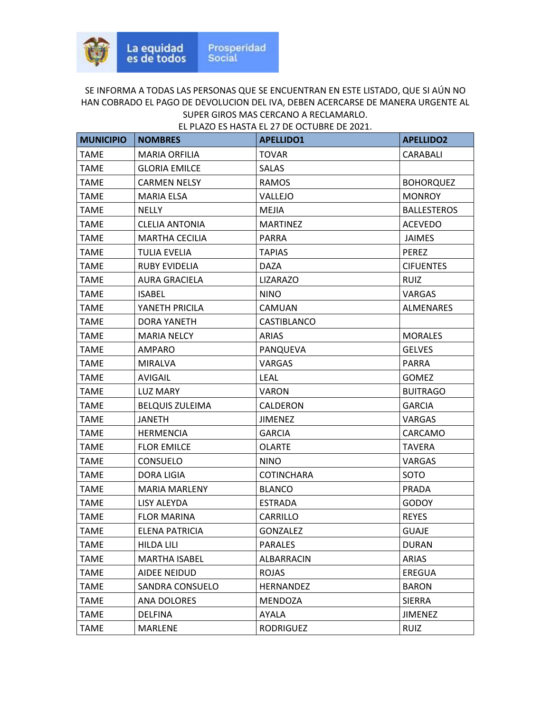| <b>MUNICIPIO</b> | <b>NOMBRES</b>         | <b>APELLIDO1</b>  | <b>APELLIDO2</b>   |
|------------------|------------------------|-------------------|--------------------|
| <b>TAME</b>      | <b>MARIA ORFILIA</b>   | <b>TOVAR</b>      | CARABALI           |
| <b>TAME</b>      | <b>GLORIA EMILCE</b>   | <b>SALAS</b>      |                    |
| <b>TAME</b>      | <b>CARMEN NELSY</b>    | <b>RAMOS</b>      | <b>BOHORQUEZ</b>   |
| TAME             | MARIA ELSA             | VALLEJO           | <b>MONROY</b>      |
| TAME             | <b>NELLY</b>           | <b>MEJIA</b>      | <b>BALLESTEROS</b> |
| <b>TAME</b>      | <b>CLELIA ANTONIA</b>  | <b>MARTINEZ</b>   | <b>ACEVEDO</b>     |
| TAME             | <b>MARTHA CECILIA</b>  | <b>PARRA</b>      | <b>JAIMES</b>      |
| <b>TAME</b>      | TULIA EVELIA           | <b>TAPIAS</b>     | <b>PEREZ</b>       |
| TAME             | <b>RUBY EVIDELIA</b>   | <b>DAZA</b>       | <b>CIFUENTES</b>   |
| TAME             | AURA GRACIELA          | <b>LIZARAZO</b>   | <b>RUIZ</b>        |
| <b>TAME</b>      | <b>ISABEL</b>          | <b>NINO</b>       | VARGAS             |
| <b>TAME</b>      | YANETH PRICILA         | <b>CAMUAN</b>     | <b>ALMENARES</b>   |
| <b>TAME</b>      | DORA YANETH            | CASTIBLANCO       |                    |
| <b>TAME</b>      | <b>MARIA NELCY</b>     | <b>ARIAS</b>      | <b>MORALES</b>     |
| TAME             | AMPARO                 | PANQUEVA          | <b>GELVES</b>      |
| TAME             | <b>MIRALVA</b>         | VARGAS            | PARRA              |
| <b>TAME</b>      | AVIGAIL                | <b>LEAL</b>       | <b>GOMEZ</b>       |
| <b>TAME</b>      | LUZ MARY               | <b>VARON</b>      | <b>BUITRAGO</b>    |
| <b>TAME</b>      | <b>BELQUIS ZULEIMA</b> | CALDERON          | <b>GARCIA</b>      |
| <b>TAME</b>      | <b>JANETH</b>          | <b>JIMENEZ</b>    | <b>VARGAS</b>      |
| TAME             | <b>HERMENCIA</b>       | <b>GARCIA</b>     | CARCAMO            |
| TAME             | <b>FLOR EMILCE</b>     | <b>OLARTE</b>     | <b>TAVERA</b>      |
| <b>TAME</b>      | <b>CONSUELO</b>        | <b>NINO</b>       | <b>VARGAS</b>      |
| <b>TAME</b>      | <b>DORA LIGIA</b>      | <b>COTINCHARA</b> | SOTO               |
| <b>TAME</b>      | <b>MARIA MARLENY</b>   | <b>BLANCO</b>     | PRADA              |
| <b>TAME</b>      | LISY ALEYDA            | <b>ESTRADA</b>    | <b>GODOY</b>       |
| <b>TAME</b>      | <b>FLOR MARINA</b>     | CARRILLO          | <b>REYES</b>       |
| <b>TAME</b>      | ELENA PATRICIA         | <b>GONZALEZ</b>   | <b>GUAJE</b>       |
| <b>TAME</b>      | <b>HILDA LILI</b>      | <b>PARALES</b>    | <b>DURAN</b>       |
| <b>TAME</b>      | <b>MARTHA ISABEL</b>   | ALBARRACIN        | ARIAS              |
| TAME             | AIDEE NEIDUD           | <b>ROJAS</b>      | EREGUA             |
| <b>TAME</b>      | SANDRA CONSUELO        | HERNANDEZ         | <b>BARON</b>       |
| <b>TAME</b>      | <b>ANA DOLORES</b>     | MENDOZA           | <b>SIERRA</b>      |
| <b>TAME</b>      | <b>DELFINA</b>         | AYALA             | <b>JIMENEZ</b>     |
| <b>TAME</b>      | MARLENE                | <b>RODRIGUEZ</b>  | <b>RUIZ</b>        |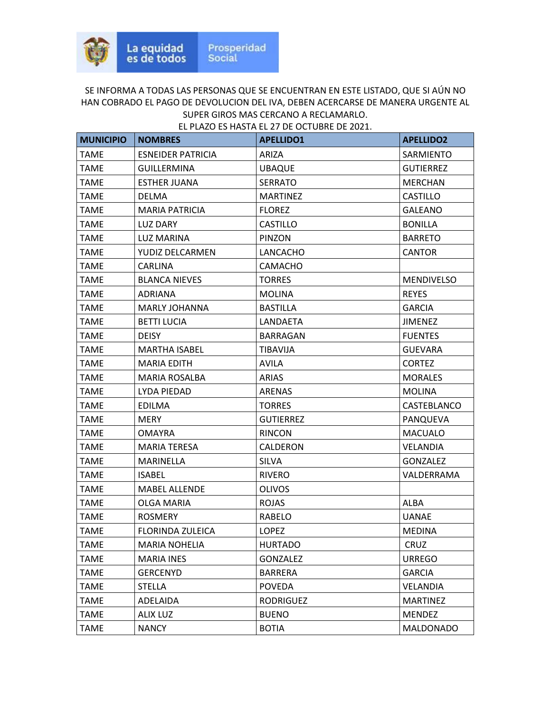| <b>MUNICIPIO</b> | <b>NOMBRES</b>           | <b>APELLIDO1</b> | <b>APELLIDO2</b>  |
|------------------|--------------------------|------------------|-------------------|
| <b>TAME</b>      | <b>ESNEIDER PATRICIA</b> | <b>ARIZA</b>     | SARMIENTO         |
| <b>TAME</b>      | <b>GUILLERMINA</b>       | <b>UBAQUE</b>    | <b>GUTIERREZ</b>  |
| <b>TAME</b>      | <b>ESTHER JUANA</b>      | <b>SERRATO</b>   | <b>MERCHAN</b>    |
| <b>TAME</b>      | <b>DELMA</b>             | <b>MARTINEZ</b>  | <b>CASTILLO</b>   |
| <b>TAME</b>      | <b>MARIA PATRICIA</b>    | <b>FLOREZ</b>    | <b>GALEANO</b>    |
| <b>TAME</b>      | LUZ DARY                 | <b>CASTILLO</b>  | <b>BONILLA</b>    |
| <b>TAME</b>      | <b>LUZ MARINA</b>        | PINZON           | <b>BARRETO</b>    |
| <b>TAME</b>      | YUDIZ DELCARMEN          | LANCACHO         | <b>CANTOR</b>     |
| <b>TAME</b>      | <b>CARLINA</b>           | CAMACHO          |                   |
| <b>TAME</b>      | <b>BLANCA NIEVES</b>     | <b>TORRES</b>    | <b>MENDIVELSO</b> |
| TAME             | <b>ADRIANA</b>           | <b>MOLINA</b>    | <b>REYES</b>      |
| <b>TAME</b>      | <b>MARLY JOHANNA</b>     | <b>BASTILLA</b>  | <b>GARCIA</b>     |
| <b>TAME</b>      | <b>BETTI LUCIA</b>       | LANDAETA         | <b>JIMENEZ</b>    |
| <b>TAME</b>      | <b>DEISY</b>             | BARRAGAN         | <b>FUENTES</b>    |
| <b>TAME</b>      | <b>MARTHA ISABEL</b>     | <b>TIBAVIJA</b>  | <b>GUEVARA</b>    |
| <b>TAME</b>      | <b>MARIA EDITH</b>       | <b>AVILA</b>     | <b>CORTEZ</b>     |
| <b>TAME</b>      | <b>MARIA ROSALBA</b>     | ARIAS            | <b>MORALES</b>    |
| <b>TAME</b>      | LYDA PIEDAD              | ARENAS           | <b>MOLINA</b>     |
| <b>TAME</b>      | <b>EDILMA</b>            | <b>TORRES</b>    | CASTEBLANCO       |
| <b>TAME</b>      | <b>MERY</b>              | <b>GUTIERREZ</b> | PANQUEVA          |
| TAME             | <b>OMAYRA</b>            | <b>RINCON</b>    | <b>MACUALO</b>    |
| <b>TAME</b>      | <b>MARIA TERESA</b>      | CALDERON         | <b>VELANDIA</b>   |
| <b>TAME</b>      | <b>MARINELLA</b>         | <b>SILVA</b>     | <b>GONZALEZ</b>   |
| <b>TAME</b>      | <b>ISABEL</b>            | <b>RIVERO</b>    | VALDERRAMA        |
| <b>TAME</b>      | <b>MABEL ALLENDE</b>     | <b>OLIVOS</b>    |                   |
| <b>TAME</b>      | OLGA MARIA               | <b>ROJAS</b>     | ALBA              |
| <b>TAME</b>      | <b>ROSMERY</b>           | <b>RABELO</b>    | <b>UANAE</b>      |
| <b>TAME</b>      | FLORINDA ZULEICA         | <b>LOPEZ</b>     | <b>MEDINA</b>     |
| <b>TAME</b>      | <b>MARIA NOHELIA</b>     | <b>HURTADO</b>   | CRUZ              |
| <b>TAME</b>      | <b>MARIA INES</b>        | <b>GONZALEZ</b>  | <b>URREGO</b>     |
| <b>TAME</b>      | <b>GERCENYD</b>          | <b>BARRERA</b>   | <b>GARCIA</b>     |
| <b>TAME</b>      | <b>STELLA</b>            | <b>POVEDA</b>    | <b>VELANDIA</b>   |
| <b>TAME</b>      | ADELAIDA                 | <b>RODRIGUEZ</b> | <b>MARTINEZ</b>   |
| <b>TAME</b>      | <b>ALIX LUZ</b>          | <b>BUENO</b>     | MENDEZ            |
| <b>TAME</b>      | <b>NANCY</b>             | <b>BOTIA</b>     | <b>MALDONADO</b>  |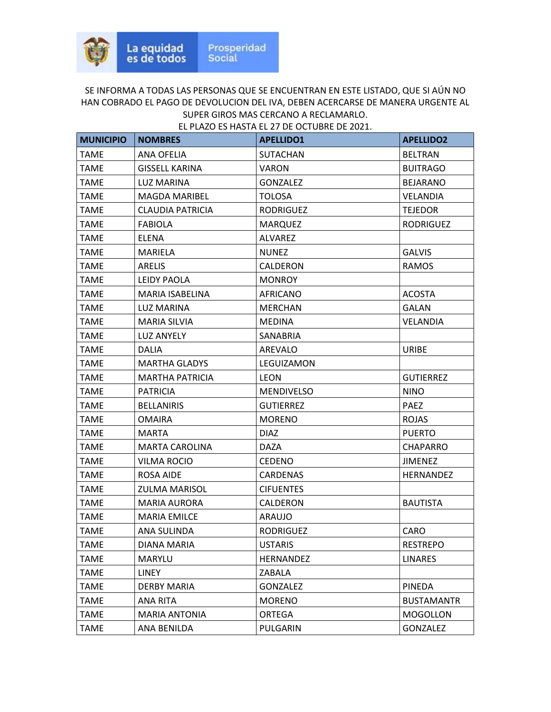| <b>MUNICIPIO</b> | <b>NOMBRES</b>         | <b>APELLIDO1</b>  | <b>APELLIDO2</b>  |
|------------------|------------------------|-------------------|-------------------|
| <b>TAME</b>      | ANA OFELIA             | <b>SUTACHAN</b>   | <b>BELTRAN</b>    |
| <b>TAME</b>      | <b>GISSELL KARINA</b>  | <b>VARON</b>      | <b>BUITRAGO</b>   |
| <b>TAME</b>      | <b>LUZ MARINA</b>      | <b>GONZALEZ</b>   | <b>BEJARANO</b>   |
| TAME             | <b>MAGDA MARIBEL</b>   | <b>TOLOSA</b>     | VELANDIA          |
| TAME             | CLAUDIA PATRICIA       | <b>RODRIGUEZ</b>  | <b>TEJEDOR</b>    |
| <b>TAME</b>      | <b>FABIOLA</b>         | <b>MARQUEZ</b>    | <b>RODRIGUEZ</b>  |
| TAME             | <b>ELENA</b>           | <b>ALVAREZ</b>    |                   |
| <b>TAME</b>      | <b>MARIELA</b>         | <b>NUNEZ</b>      | <b>GALVIS</b>     |
| <b>TAME</b>      | <b>ARELIS</b>          | CALDERON          | RAMOS             |
| TAME             | LEIDY PAOLA            | <b>MONROY</b>     |                   |
| <b>TAME</b>      | MARIA ISABELINA        | <b>AFRICANO</b>   | <b>ACOSTA</b>     |
| <b>TAME</b>      | LUZ MARINA             | <b>MERCHAN</b>    | GALAN             |
| TAME             | MARIA SILVIA           | <b>MEDINA</b>     | <b>VELANDIA</b>   |
| <b>TAME</b>      | <b>LUZ ANYELY</b>      | SANABRIA          |                   |
| TAME             | <b>DALIA</b>           | AREVALO           | <b>URIBE</b>      |
| TAME             | <b>MARTHA GLADYS</b>   | LEGUIZAMON        |                   |
| TAME             | <b>MARTHA PATRICIA</b> | LEON              | <b>GUTIERREZ</b>  |
| <b>TAME</b>      | <b>PATRICIA</b>        | <b>MENDIVELSO</b> | <b>NINO</b>       |
| TAME             | <b>BELLANIRIS</b>      | <b>GUTIERREZ</b>  | <b>PAEZ</b>       |
| TAME             | <b>OMAIRA</b>          | <b>MORENO</b>     | <b>ROJAS</b>      |
| TAME             | <b>MARTA</b>           | <b>DIAZ</b>       | <b>PUERTO</b>     |
| TAME             | <b>MARTA CAROLINA</b>  | <b>DAZA</b>       | CHAPARRO          |
| <b>TAME</b>      | <b>VILMA ROCIO</b>     | <b>CEDENO</b>     | <b>JIMENEZ</b>    |
| TAME             | ROSA AIDE              | CARDENAS          | <b>HERNANDEZ</b>  |
| <b>TAME</b>      | <b>ZULMA MARISOL</b>   | <b>CIFUENTES</b>  |                   |
| <b>TAME</b>      | <b>MARIA AURORA</b>    | CALDERON          | <b>BAUTISTA</b>   |
| <b>TAME</b>      | <b>MARIA EMILCE</b>    | <b>ARAUJO</b>     |                   |
| <b>TAME</b>      | ANA SULINDA            | <b>RODRIGUEZ</b>  | CARO              |
| <b>TAME</b>      | DIANA MARIA            | <b>USTARIS</b>    | <b>RESTREPO</b>   |
| <b>TAME</b>      | MARYLU                 | HERNANDEZ         | <b>LINARES</b>    |
| TAME             | LINEY                  | ZABALA            |                   |
| <b>TAME</b>      | DERBY MARIA            | <b>GONZALEZ</b>   | PINEDA            |
| <b>TAME</b>      | <b>ANA RITA</b>        | <b>MORENO</b>     | <b>BUSTAMANTR</b> |
| <b>TAME</b>      | <b>MARIA ANTONIA</b>   | ORTEGA            | <b>MOGOLLON</b>   |
| <b>TAME</b>      | ANA BENILDA            | PULGARIN          | <b>GONZALEZ</b>   |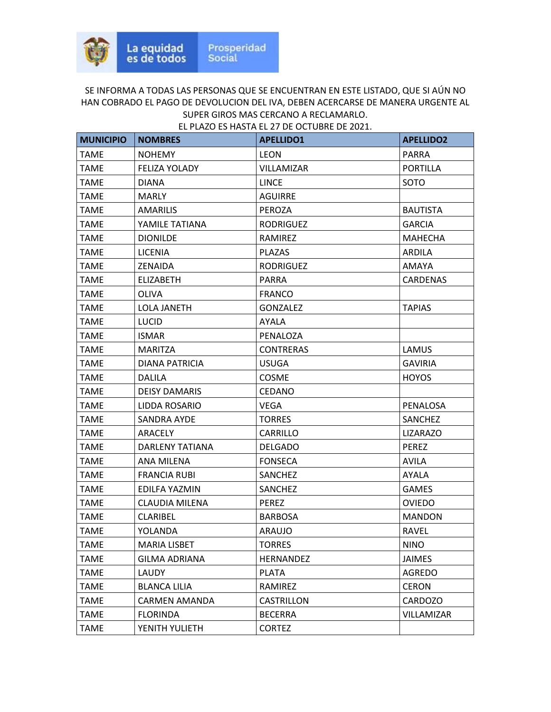| <b>MUNICIPIO</b> | <b>NOMBRES</b>       | <b>APELLIDO1</b>  | <b>APELLIDO2</b>  |
|------------------|----------------------|-------------------|-------------------|
| <b>TAME</b>      | <b>NOHEMY</b>        | <b>LEON</b>       | <b>PARRA</b>      |
| <b>TAME</b>      | <b>FELIZA YOLADY</b> | <b>VILLAMIZAR</b> | <b>PORTILLA</b>   |
| TAME             | DIANA                | LINCE             | SOTO              |
| <b>TAME</b>      | <b>MARLY</b>         | <b>AGUIRRE</b>    |                   |
| <b>TAME</b>      | <b>AMARILIS</b>      | <b>PEROZA</b>     | <b>BAUTISTA</b>   |
| <b>TAME</b>      | YAMILE TATIANA       | <b>RODRIGUEZ</b>  | <b>GARCIA</b>     |
| <b>TAME</b>      | <b>DIONILDE</b>      | RAMIREZ           | <b>MAHECHA</b>    |
| <b>TAME</b>      | <b>LICENIA</b>       | <b>PLAZAS</b>     | ARDILA            |
| <b>TAME</b>      | ZENAIDA              | <b>RODRIGUEZ</b>  | AMAYA             |
| TAME             | <b>ELIZABETH</b>     | <b>PARRA</b>      | CARDENAS          |
| <b>TAME</b>      | OLIVA                | <b>FRANCO</b>     |                   |
| <b>TAME</b>      | LOLA JANETH          | <b>GONZALEZ</b>   | <b>TAPIAS</b>     |
| <b>TAME</b>      | <b>LUCID</b>         | AYALA             |                   |
| <b>TAME</b>      | <b>ISMAR</b>         | PENALOZA          |                   |
| TAME             | MARITZA              | <b>CONTRERAS</b>  | <b>LAMUS</b>      |
| <b>TAME</b>      | DIANA PATRICIA       | <b>USUGA</b>      | <b>GAVIRIA</b>    |
| TAME             | <b>DALILA</b>        | <b>COSME</b>      | <b>HOYOS</b>      |
| <b>TAME</b>      | <b>DEISY DAMARIS</b> | <b>CEDANO</b>     |                   |
| <b>TAME</b>      | LIDDA ROSARIO        | <b>VEGA</b>       | PENALOSA          |
| <b>TAME</b>      | SANDRA AYDE          | <b>TORRES</b>     | SANCHEZ           |
| TAME             | ARACELY              | CARRILLO          | <b>LIZARAZO</b>   |
| TAME             | DARLENY TATIANA      | <b>DELGADO</b>    | <b>PEREZ</b>      |
| <b>TAME</b>      | ANA MILENA           | <b>FONSECA</b>    | <b>AVILA</b>      |
| TAME             | <b>FRANCIA RUBI</b>  | SANCHEZ           | AYALA             |
| <b>TAME</b>      | EDILFA YAZMIN        | SANCHEZ           | <b>GAMES</b>      |
| <b>TAME</b>      | CLAUDIA MILENA       | <b>PEREZ</b>      | <b>OVIEDO</b>     |
| TAME             | CLARIBEL             | <b>BARBOSA</b>    | <b>MANDON</b>     |
| <b>TAME</b>      | YOLANDA              | <b>ARAUJO</b>     | <b>RAVEL</b>      |
| <b>TAME</b>      | <b>MARIA LISBET</b>  | <b>TORRES</b>     | <b>NINO</b>       |
| <b>TAME</b>      | <b>GILMA ADRIANA</b> | HERNANDEZ         | <b>JAIMES</b>     |
| <b>TAME</b>      | LAUDY                | <b>PLATA</b>      | <b>AGREDO</b>     |
| <b>TAME</b>      | <b>BLANCA LILIA</b>  | RAMIREZ           | <b>CERON</b>      |
| <b>TAME</b>      | <b>CARMEN AMANDA</b> | CASTRILLON        | CARDOZO           |
| <b>TAME</b>      | <b>FLORINDA</b>      | <b>BECERRA</b>    | <b>VILLAMIZAR</b> |
| <b>TAME</b>      | YENITH YULIETH       | <b>CORTEZ</b>     |                   |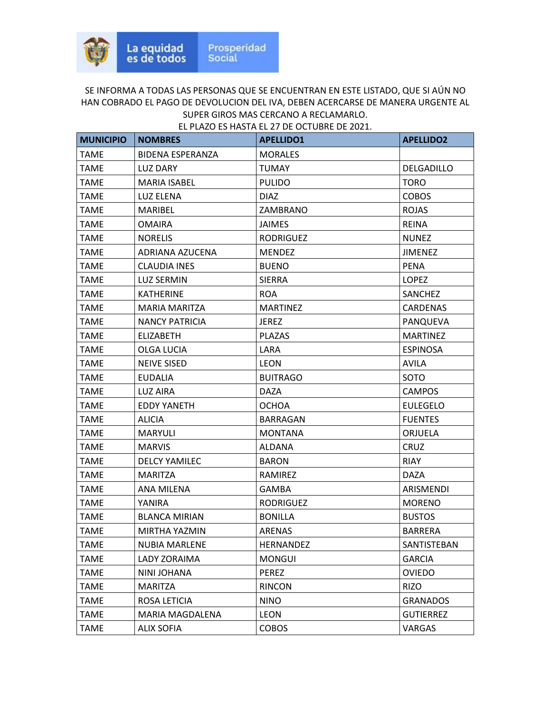| <b>MUNICIPIO</b> | <b>NOMBRES</b>          | <b>APELLIDO1</b> | <b>APELLIDO2</b> |
|------------------|-------------------------|------------------|------------------|
| <b>TAME</b>      | <b>BIDENA ESPERANZA</b> | <b>MORALES</b>   |                  |
| <b>TAME</b>      | <b>LUZ DARY</b>         | <b>TUMAY</b>     | DELGADILLO       |
| <b>TAME</b>      | <b>MARIA ISABEL</b>     | <b>PULIDO</b>    | <b>TORO</b>      |
| <b>TAME</b>      | <b>LUZ ELENA</b>        | <b>DIAZ</b>      | <b>COBOS</b>     |
| TAME             | MARIBEL                 | ZAMBRANO         | <b>ROJAS</b>     |
| <b>TAME</b>      | <b>OMAIRA</b>           | <b>JAIMES</b>    | <b>REINA</b>     |
| <b>TAME</b>      | <b>NORELIS</b>          | <b>RODRIGUEZ</b> | <b>NUNEZ</b>     |
| <b>TAME</b>      | ADRIANA AZUCENA         | <b>MENDEZ</b>    | <b>JIMENEZ</b>   |
| <b>TAME</b>      | CLAUDIA INES            | <b>BUENO</b>     | <b>PENA</b>      |
| <b>TAME</b>      | <b>LUZ SERMIN</b>       | <b>SIERRA</b>    | <b>LOPEZ</b>     |
| TAME             | KATHERINE               | <b>ROA</b>       | SANCHEZ          |
| <b>TAME</b>      | <b>MARIA MARITZA</b>    | <b>MARTINEZ</b>  | CARDENAS         |
| <b>TAME</b>      | <b>NANCY PATRICIA</b>   | <b>JEREZ</b>     | PANQUEVA         |
| <b>TAME</b>      | <b>ELIZABETH</b>        | <b>PLAZAS</b>    | <b>MARTINEZ</b>  |
| <b>TAME</b>      | OLGA LUCIA              | LARA             | <b>ESPINOSA</b>  |
| <b>TAME</b>      | <b>NEIVE SISED</b>      | <b>LEON</b>      | <b>AVILA</b>     |
| TAME             | <b>EUDALIA</b>          | <b>BUITRAGO</b>  | SOTO             |
| <b>TAME</b>      | <b>LUZ AIRA</b>         | <b>DAZA</b>      | <b>CAMPOS</b>    |
| <b>TAME</b>      | <b>EDDY YANETH</b>      | OCHOA            | <b>EULEGELO</b>  |
| <b>TAME</b>      | <b>ALICIA</b>           | <b>BARRAGAN</b>  | <b>FUENTES</b>   |
| <b>TAME</b>      | <b>MARYULI</b>          | <b>MONTANA</b>   | ORJUELA          |
| TAME             | <b>MARVIS</b>           | ALDANA           | CRUZ             |
| TAME             | <b>DELCY YAMILEC</b>    | <b>BARON</b>     | <b>RIAY</b>      |
| <b>TAME</b>      | <b>MARITZA</b>          | RAMIREZ          | <b>DAZA</b>      |
| <b>TAME</b>      | ANA MILENA              | <b>GAMBA</b>     | ARISMENDI        |
| <b>TAME</b>      | YANIRA                  | <b>RODRIGUEZ</b> | <b>MORENO</b>    |
| <b>TAME</b>      | <b>BLANCA MIRIAN</b>    | <b>BONILLA</b>   | <b>BUSTOS</b>    |
| <b>TAME</b>      | MIRTHA YAZMIN           | <b>ARENAS</b>    | <b>BARRERA</b>   |
| <b>TAME</b>      | <b>NUBIA MARLENE</b>    | HERNANDEZ        | SANTISTEBAN      |
| <b>TAME</b>      | <b>LADY ZORAIMA</b>     | <b>MONGUI</b>    | <b>GARCIA</b>    |
| <b>TAME</b>      | NINI JOHANA             | <b>PEREZ</b>     | <b>OVIEDO</b>    |
| <b>TAME</b>      | <b>MARITZA</b>          | <b>RINCON</b>    | <b>RIZO</b>      |
| <b>TAME</b>      | ROSA LETICIA            | <b>NINO</b>      | <b>GRANADOS</b>  |
| <b>TAME</b>      | MARIA MAGDALENA         | <b>LEON</b>      | <b>GUTIERREZ</b> |
| <b>TAME</b>      | <b>ALIX SOFIA</b>       | <b>COBOS</b>     | <b>VARGAS</b>    |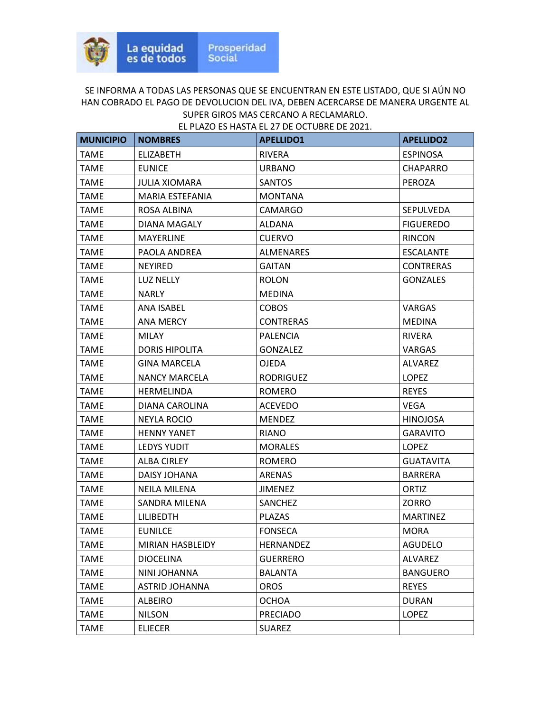| <b>MUNICIPIO</b> | <b>NOMBRES</b>        | <b>APELLIDO1</b> | <b>APELLIDO2</b> |
|------------------|-----------------------|------------------|------------------|
| <b>TAME</b>      | <b>ELIZABETH</b>      | <b>RIVERA</b>    | <b>ESPINOSA</b>  |
| <b>TAME</b>      | <b>EUNICE</b>         | <b>URBANO</b>    | <b>CHAPARRO</b>  |
| <b>TAME</b>      | <b>JULIA XIOMARA</b>  | <b>SANTOS</b>    | PEROZA           |
| <b>TAME</b>      | MARIA ESTEFANIA       | <b>MONTANA</b>   |                  |
| <b>TAME</b>      | ROSA ALBINA           | CAMARGO          | SEPULVEDA        |
| <b>TAME</b>      | DIANA MAGALY          | ALDANA           | <b>FIGUEREDO</b> |
| <b>TAME</b>      | <b>MAYERLINE</b>      | <b>CUERVO</b>    | <b>RINCON</b>    |
| <b>TAME</b>      | PAOLA ANDREA          | <b>ALMENARES</b> | <b>ESCALANTE</b> |
| TAME             | <b>NEYIRED</b>        | <b>GAITAN</b>    | <b>CONTRERAS</b> |
| TAME             | LUZ NELLY             | <b>ROLON</b>     | <b>GONZALES</b>  |
| <b>TAME</b>      | <b>NARLY</b>          | <b>MEDINA</b>    |                  |
| <b>TAME</b>      | ANA ISABEL            | <b>COBOS</b>     | <b>VARGAS</b>    |
| <b>TAME</b>      | ANA MERCY             | <b>CONTRERAS</b> | <b>MEDINA</b>    |
| <b>TAME</b>      | <b>MILAY</b>          | <b>PALENCIA</b>  | <b>RIVERA</b>    |
| <b>TAME</b>      | <b>DORIS HIPOLITA</b> | <b>GONZALEZ</b>  | <b>VARGAS</b>    |
| <b>TAME</b>      | <b>GINA MARCELA</b>   | <b>OJEDA</b>     | ALVAREZ          |
| TAME             | <b>NANCY MARCELA</b>  | <b>RODRIGUEZ</b> | LOPEZ            |
| <b>TAME</b>      | HERMELINDA            | <b>ROMERO</b>    | <b>REYES</b>     |
| <b>TAME</b>      | DIANA CAROLINA        | <b>ACEVEDO</b>   | <b>VEGA</b>      |
| <b>TAME</b>      | NEYLA ROCIO           | <b>MENDEZ</b>    | <b>HINOJOSA</b>  |
| TAME             | <b>HENNY YANET</b>    | RIANO            | <b>GARAVITO</b>  |
| TAME             | <b>LEDYS YUDIT</b>    | <b>MORALES</b>   | <b>LOPEZ</b>     |
| <b>TAME</b>      | <b>ALBA CIRLEY</b>    | <b>ROMERO</b>    | <b>GUATAVITA</b> |
| TAME             | DAISY JOHANA          | ARENAS           | <b>BARRERA</b>   |
| <b>TAME</b>      | <b>NEILA MILENA</b>   | <b>JIMENEZ</b>   | ORTIZ            |
| <b>TAME</b>      | SANDRA MILENA         | SANCHEZ          | ZORRO            |
| TAME             | <b>LILIBEDTH</b>      | PLAZAS           | <b>MARTINEZ</b>  |
| <b>TAME</b>      | <b>EUNILCE</b>        | <b>FONSECA</b>   | <b>MORA</b>      |
| <b>TAME</b>      | MIRIAN HASBLEIDY      | HERNANDEZ        | <b>AGUDELO</b>   |
| <b>TAME</b>      | <b>DIOCELINA</b>      | <b>GUERRERO</b>  | ALVAREZ          |
| <b>TAME</b>      | NINI JOHANNA          | <b>BALANTA</b>   | <b>BANGUERO</b>  |
| <b>TAME</b>      | ASTRID JOHANNA        | <b>OROS</b>      | <b>REYES</b>     |
| <b>TAME</b>      | <b>ALBEIRO</b>        | <b>OCHOA</b>     | <b>DURAN</b>     |
| <b>TAME</b>      | <b>NILSON</b>         | <b>PRECIADO</b>  | LOPEZ            |
| <b>TAME</b>      | <b>ELIECER</b>        | <b>SUAREZ</b>    |                  |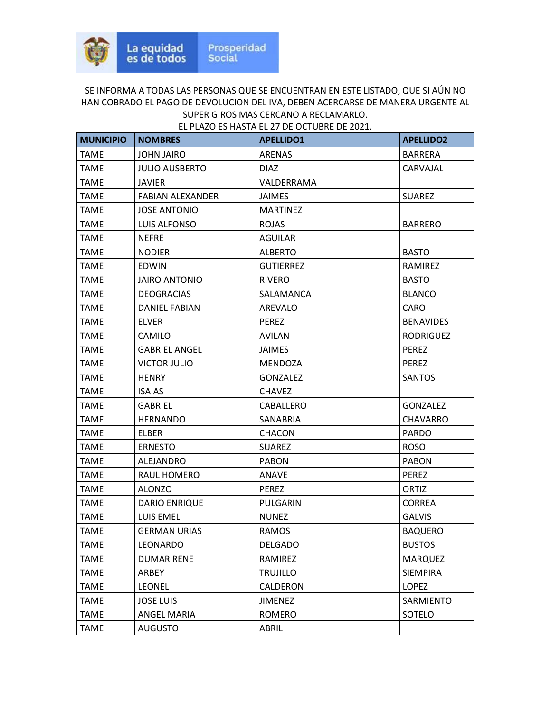| <b>MUNICIPIO</b> | <b>NOMBRES</b>          | <b>APELLIDO1</b> | <b>APELLIDO2</b> |
|------------------|-------------------------|------------------|------------------|
| <b>TAME</b>      | <b>JOHN JAIRO</b>       | <b>ARENAS</b>    | <b>BARRERA</b>   |
| <b>TAME</b>      | <b>JULIO AUSBERTO</b>   | <b>DIAZ</b>      | CARVAJAL         |
| <b>TAME</b>      | <b>JAVIER</b>           | VALDERRAMA       |                  |
| <b>TAME</b>      | <b>FABIAN ALEXANDER</b> | <b>JAIMES</b>    | <b>SUAREZ</b>    |
| TAME             | <b>JOSE ANTONIO</b>     | <b>MARTINEZ</b>  |                  |
| <b>TAME</b>      | LUIS ALFONSO            | <b>ROJAS</b>     | <b>BARRERO</b>   |
| TAME             | <b>NEFRE</b>            | AGUILAR          |                  |
| <b>TAME</b>      | <b>NODIER</b>           | <b>ALBERTO</b>   | <b>BASTO</b>     |
| <b>TAME</b>      | <b>EDWIN</b>            | <b>GUTIERREZ</b> | RAMIREZ          |
| TAME             | <b>JAIRO ANTONIO</b>    | <b>RIVERO</b>    | <b>BASTO</b>     |
| <b>TAME</b>      | <b>DEOGRACIAS</b>       | SALAMANCA        | <b>BLANCO</b>    |
| TAME             | <b>DANIEL FABIAN</b>    | AREVALO          | <b>CARO</b>      |
| <b>TAME</b>      | <b>ELVER</b>            | <b>PEREZ</b>     | <b>BENAVIDES</b> |
| <b>TAME</b>      | <b>CAMILO</b>           | <b>AVILAN</b>    | RODRIGUEZ        |
| <b>TAME</b>      | <b>GABRIEL ANGEL</b>    | <b>JAIMES</b>    | PEREZ            |
| <b>TAME</b>      | <b>VICTOR JULIO</b>     | <b>MENDOZA</b>   | PEREZ            |
| TAME             | <b>HENRY</b>            | <b>GONZALEZ</b>  | <b>SANTOS</b>    |
| <b>TAME</b>      | <b>ISAIAS</b>           | <b>CHAVEZ</b>    |                  |
| TAME             | <b>GABRIEL</b>          | CABALLERO        | <b>GONZALEZ</b>  |
| <b>TAME</b>      | <b>HERNANDO</b>         | <b>SANABRIA</b>  | <b>CHAVARRO</b>  |
| <b>TAME</b>      | <b>ELBER</b>            | CHACON           | <b>PARDO</b>     |
| <b>TAME</b>      | <b>ERNESTO</b>          | <b>SUAREZ</b>    | <b>ROSO</b>      |
| <b>TAME</b>      | ALEJANDRO               | <b>PABON</b>     | <b>PABON</b>     |
| TAME             | RAUL HOMERO             | <b>ANAVE</b>     | <b>PEREZ</b>     |
| <b>TAME</b>      | <b>ALONZO</b>           | <b>PEREZ</b>     | <b>ORTIZ</b>     |
| <b>TAME</b>      | <b>DARIO ENRIQUE</b>    | PULGARIN         | <b>CORREA</b>    |
| TAME             | <b>LUIS EMEL</b>        | <b>NUNEZ</b>     | <b>GALVIS</b>    |
| TAME             | <b>GERMAN URIAS</b>     | <b>RAMOS</b>     | <b>BAQUERO</b>   |
| <b>TAME</b>      | LEONARDO                | <b>DELGADO</b>   | <b>BUSTOS</b>    |
| <b>TAME</b>      | <b>DUMAR RENE</b>       | RAMIREZ          | <b>MARQUEZ</b>   |
| <b>TAME</b>      | ARBEY                   | <b>TRUJILLO</b>  | <b>SIEMPIRA</b>  |
| <b>TAME</b>      | <b>LEONEL</b>           | CALDERON         | LOPEZ            |
| <b>TAME</b>      | <b>JOSE LUIS</b>        | <b>JIMENEZ</b>   | SARMIENTO        |
| <b>TAME</b>      | <b>ANGEL MARIA</b>      | ROMERO           | SOTELO           |
| <b>TAME</b>      | <b>AUGUSTO</b>          | ABRIL            |                  |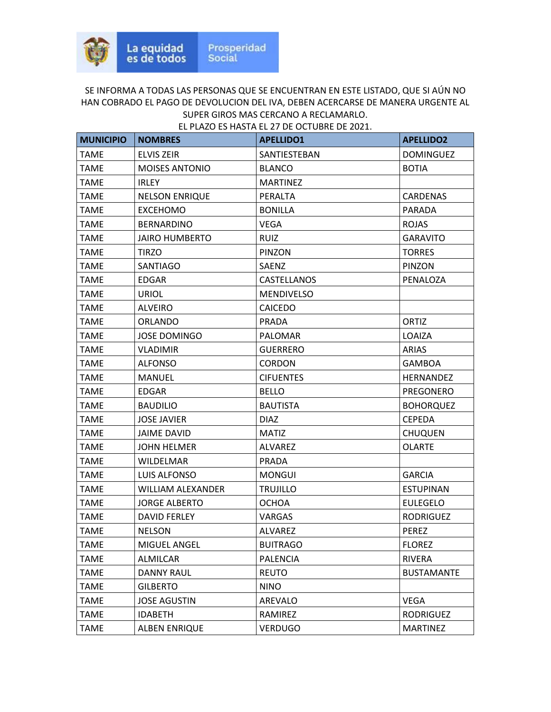| <b>MUNICIPIO</b> | <b>NOMBRES</b>           | <b>APELLIDO1</b>  | <b>APELLIDO2</b>  |
|------------------|--------------------------|-------------------|-------------------|
| <b>TAME</b>      | <b>ELVIS ZEIR</b>        | SANTIESTEBAN      | <b>DOMINGUEZ</b>  |
| <b>TAME</b>      | <b>MOISES ANTONIO</b>    | <b>BLANCO</b>     | <b>BOTIA</b>      |
| TAME             | <b>IRLEY</b>             | <b>MARTINEZ</b>   |                   |
| <b>TAME</b>      | <b>NELSON ENRIQUE</b>    | PERALTA           | <b>CARDENAS</b>   |
| <b>TAME</b>      | <b>EXCEHOMO</b>          | <b>BONILLA</b>    | <b>PARADA</b>     |
| <b>TAME</b>      | <b>BERNARDINO</b>        | VEGA              | <b>ROJAS</b>      |
| <b>TAME</b>      | <b>JAIRO HUMBERTO</b>    | <b>RUIZ</b>       | <b>GARAVITO</b>   |
| <b>TAME</b>      | <b>TIRZO</b>             | PINZON            | <b>TORRES</b>     |
| <b>TAME</b>      | SANTIAGO                 | SAENZ             | PINZON            |
| <b>TAME</b>      | <b>EDGAR</b>             | CASTELLANOS       | PENALOZA          |
| <b>TAME</b>      | <b>URIOL</b>             | <b>MENDIVELSO</b> |                   |
| TAME             | <b>ALVEIRO</b>           | <b>CAICEDO</b>    |                   |
| <b>TAME</b>      | <b>ORLANDO</b>           | <b>PRADA</b>      | <b>ORTIZ</b>      |
| <b>TAME</b>      | <b>JOSE DOMINGO</b>      | <b>PALOMAR</b>    | LOAIZA            |
| <b>TAME</b>      | <b>VLADIMIR</b>          | <b>GUERRERO</b>   | ARIAS             |
| <b>TAME</b>      | <b>ALFONSO</b>           | <b>CORDON</b>     | <b>GAMBOA</b>     |
| <b>TAME</b>      | MANUEL                   | <b>CIFUENTES</b>  | <b>HERNANDEZ</b>  |
| <b>TAME</b>      | <b>EDGAR</b>             | <b>BELLO</b>      | PREGONERO         |
| <b>TAME</b>      | <b>BAUDILIO</b>          | <b>BAUTISTA</b>   | <b>BOHORQUEZ</b>  |
| TAME             | <b>JOSE JAVIER</b>       | <b>DIAZ</b>       | <b>CEPEDA</b>     |
| <b>TAME</b>      | <b>JAIME DAVID</b>       | <b>MATIZ</b>      | <b>CHUQUEN</b>    |
| <b>TAME</b>      | <b>JOHN HELMER</b>       | <b>ALVAREZ</b>    | <b>OLARTE</b>     |
| <b>TAME</b>      | <b>WILDELMAR</b>         | <b>PRADA</b>      |                   |
| <b>TAME</b>      | LUIS ALFONSO             | <b>MONGUI</b>     | <b>GARCIA</b>     |
| <b>TAME</b>      | <b>WILLIAM ALEXANDER</b> | <b>TRUJILLO</b>   | <b>ESTUPINAN</b>  |
| <b>TAME</b>      | <b>JORGE ALBERTO</b>     | <b>OCHOA</b>      | <b>EULEGELO</b>   |
| TAME             | DAVID FERLEY             | VARGAS            | <b>RODRIGUEZ</b>  |
| <b>TAME</b>      | <b>NELSON</b>            | <b>ALVAREZ</b>    | <b>PEREZ</b>      |
| <b>TAME</b>      | MIGUEL ANGEL             | <b>BUITRAGO</b>   | <b>FLOREZ</b>     |
| <b>TAME</b>      | <b>ALMILCAR</b>          | PALENCIA          | RIVERA            |
| <b>TAME</b>      | <b>DANNY RAUL</b>        | <b>REUTO</b>      | <b>BUSTAMANTE</b> |
| <b>TAME</b>      | <b>GILBERTO</b>          | <b>NINO</b>       |                   |
| <b>TAME</b>      | <b>JOSE AGUSTIN</b>      | AREVALO           | <b>VEGA</b>       |
| <b>TAME</b>      | <b>IDABETH</b>           | RAMIREZ           | RODRIGUEZ         |
| <b>TAME</b>      | <b>ALBEN ENRIQUE</b>     | <b>VERDUGO</b>    | <b>MARTINEZ</b>   |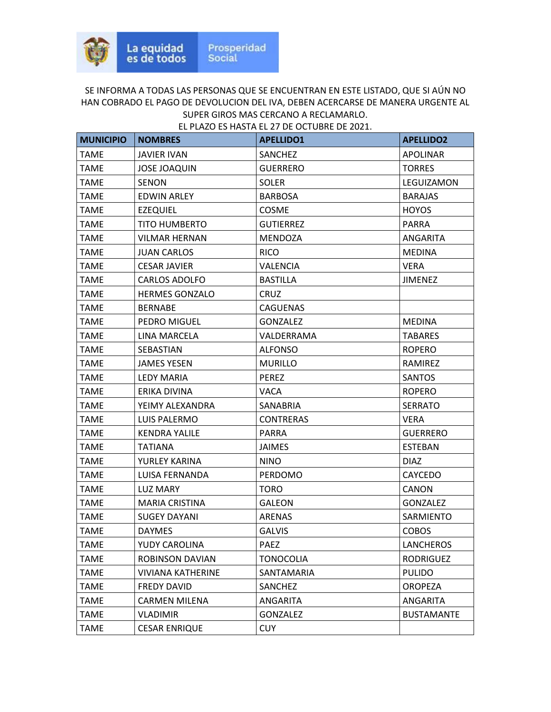| <b>MUNICIPIO</b> | <b>NOMBRES</b>           | <b>APELLIDO1</b> | <b>APELLIDO2</b>  |
|------------------|--------------------------|------------------|-------------------|
| <b>TAME</b>      | JAVIER IVAN              | <b>SANCHEZ</b>   | <b>APOLINAR</b>   |
| <b>TAME</b>      | <b>JOSE JOAQUIN</b>      | <b>GUERRERO</b>  | <b>TORRES</b>     |
| <b>TAME</b>      | <b>SENON</b>             | <b>SOLER</b>     | LEGUIZAMON        |
| <b>TAME</b>      | <b>EDWIN ARLEY</b>       | <b>BARBOSA</b>   | <b>BARAJAS</b>    |
| <b>TAME</b>      | <b>EZEQUIEL</b>          | <b>COSME</b>     | <b>HOYOS</b>      |
| <b>TAME</b>      | <b>TITO HUMBERTO</b>     | <b>GUTIERREZ</b> | <b>PARRA</b>      |
| <b>TAME</b>      | <b>VILMAR HERNAN</b>     | MENDOZA          | ANGARITA          |
| TAME             | <b>JUAN CARLOS</b>       | <b>RICO</b>      | <b>MEDINA</b>     |
| <b>TAME</b>      | <b>CESAR JAVIER</b>      | <b>VALENCIA</b>  | <b>VERA</b>       |
| <b>TAME</b>      | CARLOS ADOLFO            | <b>BASTILLA</b>  | <b>JIMENEZ</b>    |
| <b>TAME</b>      | <b>HERMES GONZALO</b>    | <b>CRUZ</b>      |                   |
| <b>TAME</b>      | <b>BERNABE</b>           | <b>CAGUENAS</b>  |                   |
| <b>TAME</b>      | PEDRO MIGUEL             | <b>GONZALEZ</b>  | <b>MEDINA</b>     |
| <b>TAME</b>      | LINA MARCELA             | VALDERRAMA       | <b>TABARES</b>    |
| <b>TAME</b>      | SEBASTIAN                | <b>ALFONSO</b>   | <b>ROPERO</b>     |
| <b>TAME</b>      | <b>JAMES YESEN</b>       | <b>MURILLO</b>   | RAMIREZ           |
| <b>TAME</b>      | LEDY MARIA               | <b>PEREZ</b>     | <b>SANTOS</b>     |
| <b>TAME</b>      | ERIKA DIVINA             | <b>VACA</b>      | <b>ROPERO</b>     |
| <b>TAME</b>      | YEIMY ALEXANDRA          | SANABRIA         | <b>SERRATO</b>    |
| TAME             | LUIS PALERMO             | <b>CONTRERAS</b> | <b>VERA</b>       |
| <b>TAME</b>      | <b>KENDRA YALILE</b>     | <b>PARRA</b>     | <b>GUERRERO</b>   |
| <b>TAME</b>      | TATIANA                  | <b>JAIMES</b>    | <b>ESTEBAN</b>    |
| <b>TAME</b>      | YURLEY KARINA            | <b>NINO</b>      | <b>DIAZ</b>       |
| TAME             | LUISA FERNANDA           | PERDOMO          | CAYCEDO           |
| <b>TAME</b>      | LUZ MARY                 | <b>TORO</b>      | <b>CANON</b>      |
| <b>TAME</b>      | <b>MARIA CRISTINA</b>    | GALEON           | GONZALEZ          |
| <b>TAME</b>      | <b>SUGEY DAYANI</b>      | ARENAS           | SARMIENTO         |
| <b>TAME</b>      | <b>DAYMES</b>            | <b>GALVIS</b>    | <b>COBOS</b>      |
| <b>TAME</b>      | YUDY CAROLINA            | <b>PAEZ</b>      | <b>LANCHEROS</b>  |
| <b>TAME</b>      | <b>ROBINSON DAVIAN</b>   | <b>TONOCOLIA</b> | <b>RODRIGUEZ</b>  |
| <b>TAME</b>      | <b>VIVIANA KATHERINE</b> | SANTAMARIA       | <b>PULIDO</b>     |
| TAME             | FREDY DAVID              | SANCHEZ          | <b>OROPEZA</b>    |
| <b>TAME</b>      | <b>CARMEN MILENA</b>     | ANGARITA         | ANGARITA          |
| <b>TAME</b>      | <b>VLADIMIR</b>          | <b>GONZALEZ</b>  | <b>BUSTAMANTE</b> |
| <b>TAME</b>      | <b>CESAR ENRIQUE</b>     | <b>CUY</b>       |                   |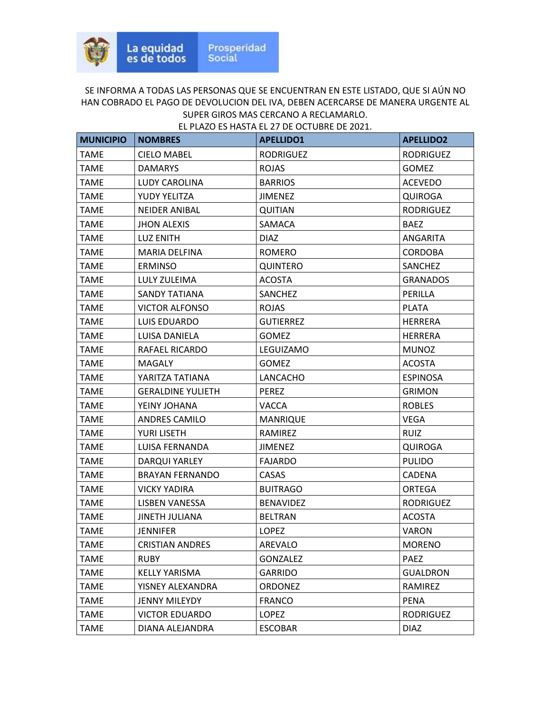| <b>MUNICIPIO</b> | <b>NOMBRES</b>           | <b>APELLIDO1</b> | <b>APELLIDO2</b> |
|------------------|--------------------------|------------------|------------------|
| <b>TAME</b>      | <b>CIELO MABEL</b>       | <b>RODRIGUEZ</b> | <b>RODRIGUEZ</b> |
| <b>TAME</b>      | <b>DAMARYS</b>           | <b>ROJAS</b>     | <b>GOMEZ</b>     |
| <b>TAME</b>      | LUDY CAROLINA            | <b>BARRIOS</b>   | <b>ACEVEDO</b>   |
| TAME             | YUDY YELITZA             | <b>JIMENEZ</b>   | <b>QUIROGA</b>   |
| TAME             | <b>NEIDER ANIBAL</b>     | <b>QUITIAN</b>   | <b>RODRIGUEZ</b> |
| <b>TAME</b>      | <b>JHON ALEXIS</b>       | SAMACA           | <b>BAEZ</b>      |
| <b>TAME</b>      | LUZ ENITH                | <b>DIAZ</b>      | ANGARITA         |
| <b>TAME</b>      | <b>MARIA DELFINA</b>     | <b>ROMERO</b>    | <b>CORDOBA</b>   |
| TAME             | <b>ERMINSO</b>           | <b>QUINTERO</b>  | <b>SANCHEZ</b>   |
| TAME             | LULY ZULEIMA             | <b>ACOSTA</b>    | <b>GRANADOS</b>  |
| <b>TAME</b>      | <b>SANDY TATIANA</b>     | <b>SANCHEZ</b>   | PERILLA          |
| <b>TAME</b>      | <b>VICTOR ALFONSO</b>    | <b>ROJAS</b>     | <b>PLATA</b>     |
| TAME             | LUIS EDUARDO             | <b>GUTIERREZ</b> | <b>HERRERA</b>   |
| <b>TAME</b>      | LUISA DANIELA            | <b>GOMEZ</b>     | <b>HERRERA</b>   |
| <b>TAME</b>      | <b>RAFAEL RICARDO</b>    | LEGUIZAMO        | <b>MUNOZ</b>     |
| TAME             | MAGALY                   | <b>GOMEZ</b>     | <b>ACOSTA</b>    |
| <b>TAME</b>      | YARITZA TATIANA          | LANCACHO         | <b>ESPINOSA</b>  |
| <b>TAME</b>      | <b>GERALDINE YULIETH</b> | <b>PEREZ</b>     | <b>GRIMON</b>    |
| <b>TAME</b>      | YEINY JOHANA             | <b>VACCA</b>     | <b>ROBLES</b>    |
| <b>TAME</b>      | ANDRES CAMILO            | <b>MANRIQUE</b>  | <b>VEGA</b>      |
| TAME             | YURI LISETH              | RAMIREZ          | <b>RUIZ</b>      |
| TAME             | LUISA FERNANDA           | <b>JIMENEZ</b>   | <b>QUIROGA</b>   |
| <b>TAME</b>      | <b>DARQUI YARLEY</b>     | <b>FAJARDO</b>   | <b>PULIDO</b>    |
| <b>TAME</b>      | <b>BRAYAN FERNANDO</b>   | <b>CASAS</b>     | <b>CADENA</b>    |
| <b>TAME</b>      | <b>VICKY YADIRA</b>      | <b>BUITRAGO</b>  | ORTEGA           |
| <b>TAME</b>      | <b>LISBEN VANESSA</b>    | <b>BENAVIDEZ</b> | <b>RODRIGUEZ</b> |
| <b>TAME</b>      | JINETH JULIANA           | <b>BELTRAN</b>   | <b>ACOSTA</b>    |
| <b>TAME</b>      | <b>JENNIFER</b>          | <b>LOPEZ</b>     | <b>VARON</b>     |
| <b>TAME</b>      | <b>CRISTIAN ANDRES</b>   | AREVALO          | <b>MORENO</b>    |
| <b>TAME</b>      | <b>RUBY</b>              | <b>GONZALEZ</b>  | PAEZ             |
| TAME             | KELLY YARISMA            | GARRIDO          | <b>GUALDRON</b>  |
| <b>TAME</b>      | YISNEY ALEXANDRA         | <b>ORDONEZ</b>   | RAMIREZ          |
| <b>TAME</b>      | <b>JENNY MILEYDY</b>     | <b>FRANCO</b>    | <b>PENA</b>      |
| <b>TAME</b>      | <b>VICTOR EDUARDO</b>    | LOPEZ            | <b>RODRIGUEZ</b> |
| <b>TAME</b>      | DIANA ALEJANDRA          | <b>ESCOBAR</b>   | <b>DIAZ</b>      |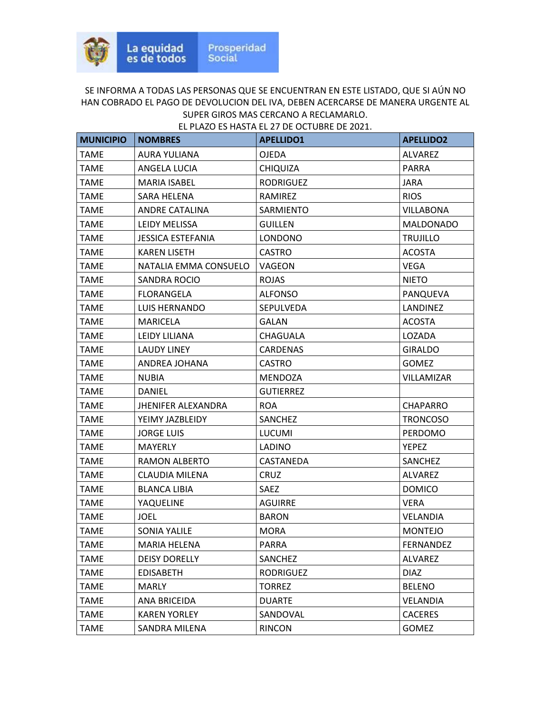| <b>MUNICIPIO</b> | <b>NOMBRES</b>            | <b>APELLIDO1</b> | <b>APELLIDO2</b>  |
|------------------|---------------------------|------------------|-------------------|
| <b>TAME</b>      | <b>AURA YULIANA</b>       | <b>OJEDA</b>     | <b>ALVAREZ</b>    |
| <b>TAME</b>      | <b>ANGELA LUCIA</b>       | <b>CHIQUIZA</b>  | <b>PARRA</b>      |
| TAME             | MARIA ISABEL              | <b>RODRIGUEZ</b> | JARA              |
| <b>TAME</b>      | SARA HELENA               | RAMIREZ          | <b>RIOS</b>       |
| <b>TAME</b>      | ANDRE CATALINA            | <b>SARMIENTO</b> | <b>VILLABONA</b>  |
| <b>TAME</b>      | LEIDY MELISSA             | <b>GUILLEN</b>   | MALDONADO         |
| <b>TAME</b>      | <b>JESSICA ESTEFANIA</b>  | <b>LONDONO</b>   | <b>TRUJILLO</b>   |
| TAME             | <b>KAREN LISETH</b>       | <b>CASTRO</b>    | <b>ACOSTA</b>     |
| <b>TAME</b>      | NATALIA EMMA CONSUELO     | VAGEON           | <b>VEGA</b>       |
| TAME             | SANDRA ROCIO              | <b>ROJAS</b>     | <b>NIETO</b>      |
| <b>TAME</b>      | FLORANGELA                | <b>ALFONSO</b>   | PANQUEVA          |
| <b>TAME</b>      | LUIS HERNANDO             | <b>SEPULVEDA</b> | LANDINEZ          |
| <b>TAME</b>      | <b>MARICELA</b>           | <b>GALAN</b>     | <b>ACOSTA</b>     |
| <b>TAME</b>      | LEIDY LILIANA             | CHAGUALA         | LOZADA            |
| TAME             | LAUDY LINEY               | CARDENAS         | <b>GIRALDO</b>    |
| <b>TAME</b>      | ANDREA JOHANA             | <b>CASTRO</b>    | <b>GOMEZ</b>      |
| TAME             | NUBIA                     | <b>MENDOZA</b>   | <b>VILLAMIZAR</b> |
| <b>TAME</b>      | <b>DANIEL</b>             | <b>GUTIERREZ</b> |                   |
| <b>TAME</b>      | <b>JHENIFER ALEXANDRA</b> | <b>ROA</b>       | CHAPARRO          |
| <b>TAME</b>      | YEIMY JAZBLEIDY           | SANCHEZ          | <b>TRONCOSO</b>   |
| TAME             | <b>JORGE LUIS</b>         | <b>LUCUMI</b>    | <b>PERDOMO</b>    |
| TAME             | <b>MAYERLY</b>            | <b>LADINO</b>    | <b>YEPEZ</b>      |
| <b>TAME</b>      | RAMON ALBERTO             | CASTANEDA        | SANCHEZ           |
| TAME             | CLAUDIA MILENA            | <b>CRUZ</b>      | ALVAREZ           |
| <b>TAME</b>      | <b>BLANCA LIBIA</b>       | <b>SAEZ</b>      | <b>DOMICO</b>     |
| <b>TAME</b>      | YAQUELINE                 | <b>AGUIRRE</b>   | <b>VERA</b>       |
| TAME             | JOEL                      | <b>BARON</b>     | VELANDIA          |
| <b>TAME</b>      | <b>SONIA YALILE</b>       | <b>MORA</b>      | <b>MONTEJO</b>    |
| <b>TAME</b>      | <b>MARIA HELENA</b>       | PARRA            | FERNANDEZ         |
| <b>TAME</b>      | <b>DEISY DORELLY</b>      | SANCHEZ          | ALVAREZ           |
| <b>TAME</b>      | <b>EDISABETH</b>          | <b>RODRIGUEZ</b> | <b>DIAZ</b>       |
| <b>TAME</b>      | <b>MARLY</b>              | <b>TORREZ</b>    | <b>BELENO</b>     |
| <b>TAME</b>      | ANA BRICEIDA              | <b>DUARTE</b>    | VELANDIA          |
| <b>TAME</b>      | <b>KAREN YORLEY</b>       | SANDOVAL         | <b>CACERES</b>    |
| <b>TAME</b>      | SANDRA MILENA             | <b>RINCON</b>    | GOMEZ             |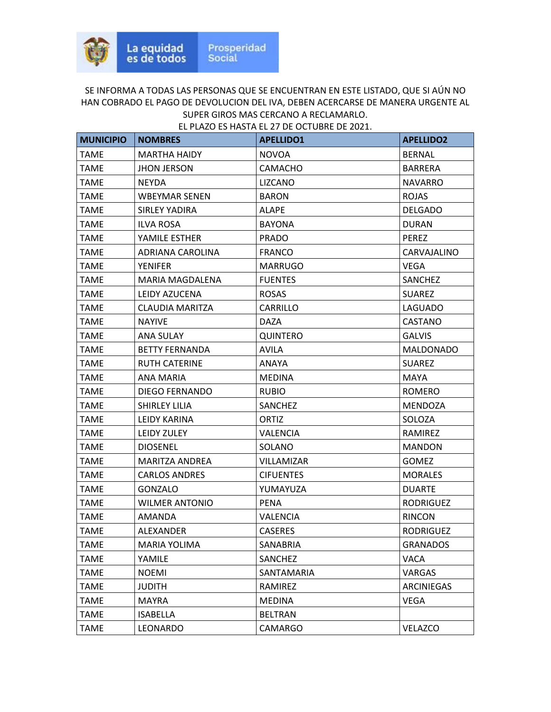| <b>MUNICIPIO</b> | <b>NOMBRES</b>        | <b>APELLIDO1</b> | <b>APELLIDO2</b> |
|------------------|-----------------------|------------------|------------------|
| <b>TAME</b>      | <b>MARTHA HAIDY</b>   | <b>NOVOA</b>     | <b>BERNAL</b>    |
| <b>TAME</b>      | <b>JHON JERSON</b>    | <b>CAMACHO</b>   | <b>BARRERA</b>   |
| <b>TAME</b>      | <b>NEYDA</b>          | <b>LIZCANO</b>   | <b>NAVARRO</b>   |
| <b>TAME</b>      | <b>WBEYMAR SENEN</b>  | <b>BARON</b>     | <b>ROJAS</b>     |
| TAME             | SIRLEY YADIRA         | ALAPE            | <b>DELGADO</b>   |
| <b>TAME</b>      | <b>ILVA ROSA</b>      | <b>BAYONA</b>    | <b>DURAN</b>     |
| <b>TAME</b>      | YAMILE ESTHER         | <b>PRADO</b>     | <b>PEREZ</b>     |
| <b>TAME</b>      | ADRIANA CAROLINA      | <b>FRANCO</b>    | CARVAJALINO      |
| <b>TAME</b>      | <b>YENIFER</b>        | <b>MARRUGO</b>   | <b>VEGA</b>      |
| <b>TAME</b>      | MARIA MAGDALENA       | <b>FUENTES</b>   | <b>SANCHEZ</b>   |
| TAME             | LEIDY AZUCENA         | <b>ROSAS</b>     | <b>SUAREZ</b>    |
| <b>TAME</b>      | CLAUDIA MARITZA       | CARRILLO         | <b>LAGUADO</b>   |
| <b>TAME</b>      | <b>NAYIVE</b>         | <b>DAZA</b>      | CASTANO          |
| <b>TAME</b>      | ANA SULAY             | <b>QUINTERO</b>  | <b>GALVIS</b>    |
| <b>TAME</b>      | <b>BETTY FERNANDA</b> | <b>AVILA</b>     | <b>MALDONADO</b> |
| <b>TAME</b>      | <b>RUTH CATERINE</b>  | ANAYA            | <b>SUAREZ</b>    |
| TAME             | ANA MARIA             | <b>MEDINA</b>    | MAYA             |
| <b>TAME</b>      | <b>DIEGO FERNANDO</b> | <b>RUBIO</b>     | <b>ROMERO</b>    |
| <b>TAME</b>      | SHIRLEY LILIA         | <b>SANCHEZ</b>   | <b>MENDOZA</b>   |
| <b>TAME</b>      | <b>LEIDY KARINA</b>   | ORTIZ            | SOLOZA           |
| <b>TAME</b>      | LEIDY ZULEY           | <b>VALENCIA</b>  | RAMIREZ          |
| TAME             | <b>DIOSENEL</b>       | SOLANO           | <b>MANDON</b>    |
| TAME             | <b>MARITZA ANDREA</b> | VILLAMIZAR       | <b>GOMEZ</b>     |
| <b>TAME</b>      | <b>CARLOS ANDRES</b>  | <b>CIFUENTES</b> | <b>MORALES</b>   |
| <b>TAME</b>      | <b>GONZALO</b>        | YUMAYUZA         | <b>DUARTE</b>    |
| <b>TAME</b>      | <b>WILMER ANTONIO</b> | <b>PENA</b>      | <b>RODRIGUEZ</b> |
| <b>TAME</b>      | AMANDA                | <b>VALENCIA</b>  | <b>RINCON</b>    |
| <b>TAME</b>      | <b>ALEXANDER</b>      | <b>CASERES</b>   | <b>RODRIGUEZ</b> |
| <b>TAME</b>      | <b>MARIA YOLIMA</b>   | SANABRIA         | <b>GRANADOS</b>  |
| <b>TAME</b>      | YAMILE                | SANCHEZ          | <b>VACA</b>      |
| <b>TAME</b>      | <b>NOEMI</b>          | SANTAMARIA       | VARGAS           |
| <b>TAME</b>      | <b>JUDITH</b>         | RAMIREZ          | ARCINIEGAS       |
| <b>TAME</b>      | <b>MAYRA</b>          | <b>MEDINA</b>    | <b>VEGA</b>      |
| <b>TAME</b>      | <b>ISABELLA</b>       | <b>BELTRAN</b>   |                  |
| <b>TAME</b>      | <b>LEONARDO</b>       | <b>CAMARGO</b>   | VELAZCO          |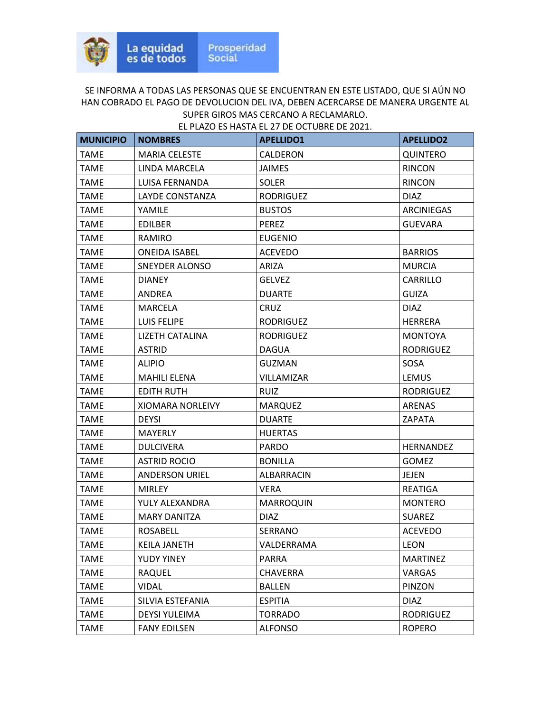| <b>MUNICIPIO</b> | <b>NOMBRES</b>        | <b>APELLIDO1</b> | <b>APELLIDO2</b> |
|------------------|-----------------------|------------------|------------------|
| <b>TAME</b>      | <b>MARIA CELESTE</b>  | CALDERON         | <b>QUINTERO</b>  |
| <b>TAME</b>      | LINDA MARCELA         | <b>JAIMES</b>    | <b>RINCON</b>    |
| <b>TAME</b>      | LUISA FERNANDA        | <b>SOLER</b>     | <b>RINCON</b>    |
| <b>TAME</b>      | LAYDE CONSTANZA       | <b>RODRIGUEZ</b> | <b>DIAZ</b>      |
| <b>TAME</b>      | YAMILE                | <b>BUSTOS</b>    | ARCINIEGAS       |
| <b>TAME</b>      | <b>EDILBER</b>        | <b>PEREZ</b>     | <b>GUEVARA</b>   |
| <b>TAME</b>      | RAMIRO                | <b>EUGENIO</b>   |                  |
| <b>TAME</b>      | <b>ONEIDA ISABEL</b>  | <b>ACEVEDO</b>   | <b>BARRIOS</b>   |
| <b>TAME</b>      | SNEYDER ALONSO        | ARIZA            | <b>MURCIA</b>    |
| <b>TAME</b>      | <b>DIANEY</b>         | <b>GELVEZ</b>    | CARRILLO         |
| <b>TAME</b>      | ANDREA                | <b>DUARTE</b>    | <b>GUIZA</b>     |
| <b>TAME</b>      | MARCELA               | CRUZ             | <b>DIAZ</b>      |
| <b>TAME</b>      | LUIS FELIPE           | <b>RODRIGUEZ</b> | <b>HERRERA</b>   |
| <b>TAME</b>      | LIZETH CATALINA       | <b>RODRIGUEZ</b> | <b>MONTOYA</b>   |
| TAME             | <b>ASTRID</b>         | <b>DAGUA</b>     | <b>RODRIGUEZ</b> |
| <b>TAME</b>      | <b>ALIPIO</b>         | <b>GUZMAN</b>    | SOSA             |
| <b>TAME</b>      | <b>MAHILI ELENA</b>   | VILLAMIZAR       | <b>LEMUS</b>     |
| <b>TAME</b>      | <b>EDITH RUTH</b>     | <b>RUIZ</b>      | <b>RODRIGUEZ</b> |
| <b>TAME</b>      | XIOMARA NORLEIVY      | <b>MARQUEZ</b>   | <b>ARENAS</b>    |
| <b>TAME</b>      | <b>DEYSI</b>          | <b>DUARTE</b>    | ZAPATA           |
| <b>TAME</b>      | MAYERLY               | <b>HUERTAS</b>   |                  |
| <b>TAME</b>      | <b>DULCIVERA</b>      | <b>PARDO</b>     | <b>HERNANDEZ</b> |
| <b>TAME</b>      | <b>ASTRID ROCIO</b>   | <b>BONILLA</b>   | <b>GOMEZ</b>     |
| <b>TAME</b>      | <b>ANDERSON URIEL</b> | ALBARRACIN       | JEJEN            |
| <b>TAME</b>      | <b>MIRLEY</b>         | <b>VERA</b>      | <b>REATIGA</b>   |
| <b>TAME</b>      | YULY ALEXANDRA        | <b>MARROQUIN</b> | <b>MONTERO</b>   |
| <b>TAME</b>      | <b>MARY DANITZA</b>   | <b>DIAZ</b>      | <b>SUAREZ</b>    |
| <b>TAME</b>      | <b>ROSABELL</b>       | SERRANO          | <b>ACEVEDO</b>   |
| <b>TAME</b>      | <b>KEILA JANETH</b>   | VALDERRAMA       | <b>LEON</b>      |
| <b>TAME</b>      | YUDY YINEY            | PARRA            | <b>MARTINEZ</b>  |
| <b>TAME</b>      | <b>RAQUEL</b>         | <b>CHAVERRA</b>  | <b>VARGAS</b>    |
| <b>TAME</b>      | <b>VIDAL</b>          | <b>BALLEN</b>    | PINZON           |
| <b>TAME</b>      | SILVIA ESTEFANIA      | <b>ESPITIA</b>   | <b>DIAZ</b>      |
| <b>TAME</b>      | <b>DEYSI YULEIMA</b>  | <b>TORRADO</b>   | <b>RODRIGUEZ</b> |
| <b>TAME</b>      | <b>FANY EDILSEN</b>   | <b>ALFONSO</b>   | <b>ROPERO</b>    |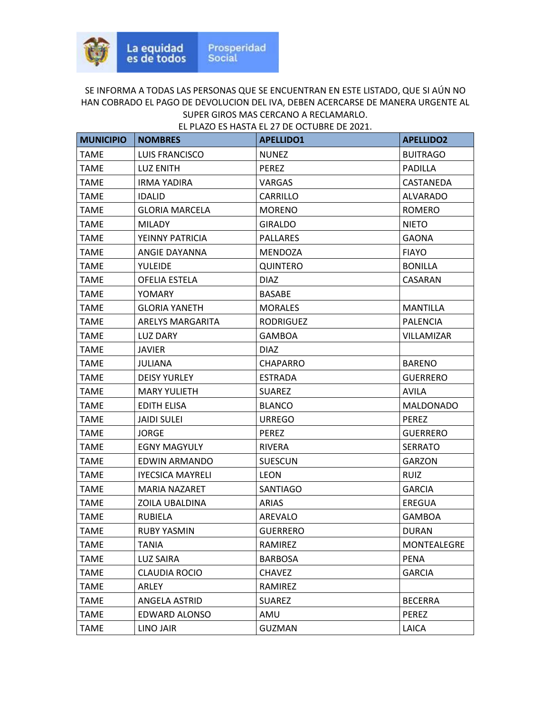| <b>MUNICIPIO</b> | <b>NOMBRES</b>          | <b>APELLIDO1</b> | <b>APELLIDO2</b>   |
|------------------|-------------------------|------------------|--------------------|
| <b>TAME</b>      | <b>LUIS FRANCISCO</b>   | <b>NUNEZ</b>     | <b>BUITRAGO</b>    |
| <b>TAME</b>      | <b>LUZ ENITH</b>        | <b>PEREZ</b>     | <b>PADILLA</b>     |
| TAME             | <b>IRMA YADIRA</b>      | VARGAS           | CASTANEDA          |
| <b>TAME</b>      | <b>IDALID</b>           | CARRILLO         | <b>ALVARADO</b>    |
| <b>TAME</b>      | <b>GLORIA MARCELA</b>   | <b>MORENO</b>    | <b>ROMERO</b>      |
| <b>TAME</b>      | <b>MILADY</b>           | <b>GIRALDO</b>   | <b>NIETO</b>       |
| <b>TAME</b>      | YEINNY PATRICIA         | <b>PALLARES</b>  | <b>GAONA</b>       |
| <b>TAME</b>      | ANGIE DAYANNA           | MENDOZA          | <b>FIAYO</b>       |
| <b>TAME</b>      | <b>YULEIDE</b>          | <b>QUINTERO</b>  | <b>BONILLA</b>     |
| TAME             | OFELIA ESTELA           | <b>DIAZ</b>      | CASARAN            |
| <b>TAME</b>      | <b>YOMARY</b>           | <b>BASABE</b>    |                    |
| <b>TAME</b>      | <b>GLORIA YANETH</b>    | <b>MORALES</b>   | MANTILLA           |
| <b>TAME</b>      | ARELYS MARGARITA        | <b>RODRIGUEZ</b> | <b>PALENCIA</b>    |
| <b>TAME</b>      | LUZ DARY                | <b>GAMBOA</b>    | <b>VILLAMIZAR</b>  |
| TAME             | JAVIER                  | <b>DIAZ</b>      |                    |
| <b>TAME</b>      | <b>JULIANA</b>          | <b>CHAPARRO</b>  | <b>BARENO</b>      |
| TAME             | <b>DEISY YURLEY</b>     | <b>ESTRADA</b>   | <b>GUERRERO</b>    |
| <b>TAME</b>      | <b>MARY YULIETH</b>     | SUAREZ           | AVILA              |
| <b>TAME</b>      | <b>EDITH ELISA</b>      | <b>BLANCO</b>    | MALDONADO          |
| <b>TAME</b>      | <b>JAIDI SULEI</b>      | <b>URREGO</b>    | <b>PEREZ</b>       |
| TAME             | <b>JORGE</b>            | <b>PEREZ</b>     | <b>GUERRERO</b>    |
| TAME             | <b>EGNY MAGYULY</b>     | <b>RIVERA</b>    | <b>SERRATO</b>     |
| <b>TAME</b>      | EDWIN ARMANDO           | <b>SUESCUN</b>   | <b>GARZON</b>      |
| TAME             | <b>IYECSICA MAYRELI</b> | LEON             | <b>RUIZ</b>        |
| <b>TAME</b>      | <b>MARIA NAZARET</b>    | SANTIAGO         | <b>GARCIA</b>      |
| <b>TAME</b>      | ZOILA UBALDINA          | <b>ARIAS</b>     | <b>EREGUA</b>      |
| TAME             | <b>RUBIELA</b>          | AREVALO          | GAMBOA             |
| <b>TAME</b>      | <b>RUBY YASMIN</b>      | <b>GUERRERO</b>  | <b>DURAN</b>       |
| <b>TAME</b>      | TANIA                   | RAMIREZ          | <b>MONTEALEGRE</b> |
| <b>TAME</b>      | <b>LUZ SAIRA</b>        | <b>BARBOSA</b>   | <b>PENA</b>        |
| <b>TAME</b>      | <b>CLAUDIA ROCIO</b>    | <b>CHAVEZ</b>    | <b>GARCIA</b>      |
| <b>TAME</b>      | ARLEY                   | RAMIREZ          |                    |
| <b>TAME</b>      | ANGELA ASTRID           | <b>SUAREZ</b>    | <b>BECERRA</b>     |
| <b>TAME</b>      | <b>EDWARD ALONSO</b>    | AMU              | <b>PEREZ</b>       |
| <b>TAME</b>      | <b>LINO JAIR</b>        | <b>GUZMAN</b>    | LAICA              |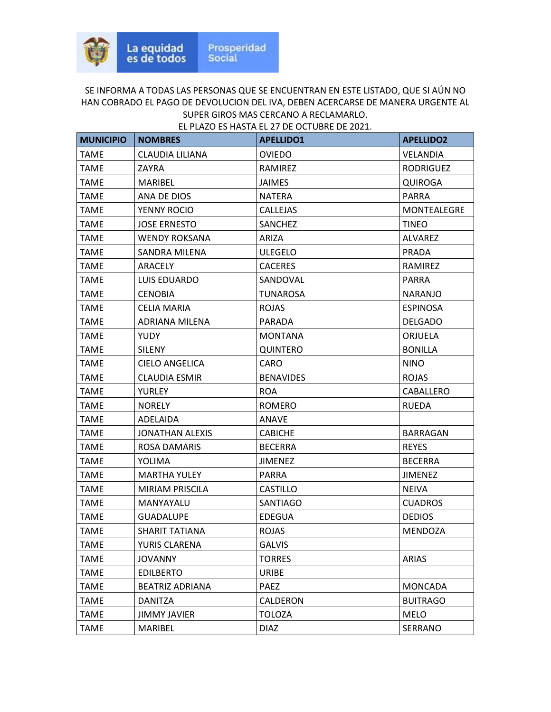| <b>MUNICIPIO</b> | <b>NOMBRES</b>         | <b>APELLIDO1</b> | <b>APELLIDO2</b>   |
|------------------|------------------------|------------------|--------------------|
| <b>TAME</b>      | CLAUDIA LILIANA        | <b>OVIEDO</b>    | <b>VELANDIA</b>    |
| <b>TAME</b>      | ZAYRA                  | RAMIREZ          | <b>RODRIGUEZ</b>   |
| <b>TAME</b>      | <b>MARIBEL</b>         | <b>JAIMES</b>    | <b>QUIROGA</b>     |
| <b>TAME</b>      | ANA DE DIOS            | <b>NATERA</b>    | <b>PARRA</b>       |
| <b>TAME</b>      | YENNY ROCIO            | <b>CALLEJAS</b>  | <b>MONTEALEGRE</b> |
| <b>TAME</b>      | <b>JOSE ERNESTO</b>    | SANCHEZ          | <b>TINEO</b>       |
| <b>TAME</b>      | <b>WENDY ROKSANA</b>   | <b>ARIZA</b>     | <b>ALVAREZ</b>     |
| <b>TAME</b>      | SANDRA MILENA          | <b>ULEGELO</b>   | <b>PRADA</b>       |
| <b>TAME</b>      | ARACELY                | <b>CACERES</b>   | RAMIREZ            |
| <b>TAME</b>      | LUIS EDUARDO           | SANDOVAL         | <b>PARRA</b>       |
| TAME             | <b>CENOBIA</b>         | TUNAROSA         | <b>NARANJO</b>     |
| <b>TAME</b>      | <b>CELIA MARIA</b>     | <b>ROJAS</b>     | <b>ESPINOSA</b>    |
| <b>TAME</b>      | ADRIANA MILENA         | <b>PARADA</b>    | <b>DELGADO</b>     |
| <b>TAME</b>      | <b>YUDY</b>            | <b>MONTANA</b>   | ORJUELA            |
| <b>TAME</b>      | <b>SILENY</b>          | <b>QUINTERO</b>  | <b>BONILLA</b>     |
| <b>TAME</b>      | <b>CIELO ANGELICA</b>  | <b>CARO</b>      | <b>NINO</b>        |
| <b>TAME</b>      | <b>CLAUDIA ESMIR</b>   | <b>BENAVIDES</b> | <b>ROJAS</b>       |
| <b>TAME</b>      | <b>YURLEY</b>          | <b>ROA</b>       | CABALLERO          |
| <b>TAME</b>      | <b>NORELY</b>          | <b>ROMERO</b>    | <b>RUEDA</b>       |
| <b>TAME</b>      | ADELAIDA               | ANAVE            |                    |
| <b>TAME</b>      | <b>JONATHAN ALEXIS</b> | <b>CABICHE</b>   | BARRAGAN           |
| <b>TAME</b>      | ROSA DAMARIS           | <b>BECERRA</b>   | <b>REYES</b>       |
| <b>TAME</b>      | <b>YOLIMA</b>          | <b>JIMENEZ</b>   | <b>BECERRA</b>     |
| <b>TAME</b>      | <b>MARTHA YULEY</b>    | <b>PARRA</b>     | <b>JIMENEZ</b>     |
| <b>TAME</b>      | MIRIAM PRISCILA        | <b>CASTILLO</b>  | <b>NEIVA</b>       |
| <b>TAME</b>      | MANYAYALU              | <b>SANTIAGO</b>  | <b>CUADROS</b>     |
| <b>TAME</b>      | <b>GUADALUPE</b>       | <b>EDEGUA</b>    | <b>DEDIOS</b>      |
| <b>TAME</b>      | SHARIT TATIANA         | <b>ROJAS</b>     | <b>MENDOZA</b>     |
| <b>TAME</b>      | YURIS CLARENA          | <b>GALVIS</b>    |                    |
| <b>TAME</b>      | <b>JOVANNY</b>         | <b>TORRES</b>    | <b>ARIAS</b>       |
| <b>TAME</b>      | <b>EDILBERTO</b>       | <b>URIBE</b>     |                    |
| <b>TAME</b>      | BEATRIZ ADRIANA        | <b>PAEZ</b>      | <b>MONCADA</b>     |
| <b>TAME</b>      | DANITZA                | CALDERON         | <b>BUITRAGO</b>    |
| <b>TAME</b>      | JIMMY JAVIER           | <b>TOLOZA</b>    | MELO               |
| <b>TAME</b>      | <b>MARIBEL</b>         | <b>DIAZ</b>      | SERRANO            |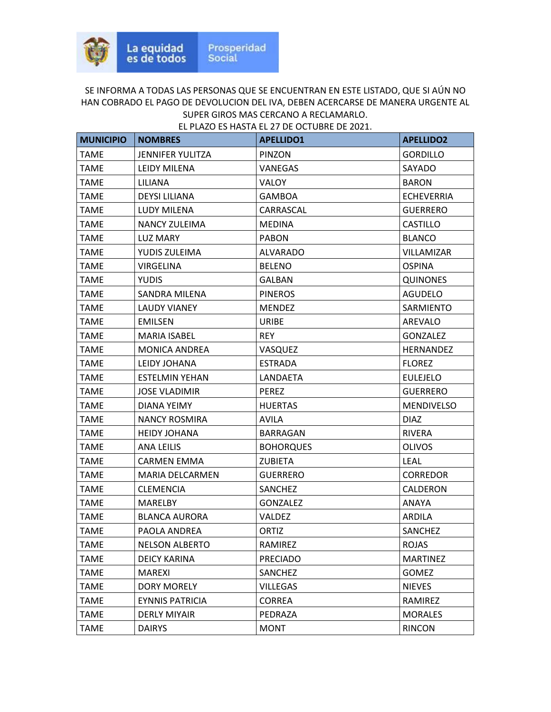| <b>MUNICIPIO</b> | <b>NOMBRES</b>          | <b>APELLIDO1</b> | <b>APELLIDO2</b>  |
|------------------|-------------------------|------------------|-------------------|
| <b>TAME</b>      | <b>JENNIFER YULITZA</b> | PINZON           | <b>GORDILLO</b>   |
| TAME             | <b>LEIDY MILENA</b>     | VANEGAS          | SAYADO            |
| <b>TAME</b>      | <b>LILIANA</b>          | VALOY            | <b>BARON</b>      |
| TAME             | <b>DEYSI LILIANA</b>    | <b>GAMBOA</b>    | <b>ECHEVERRIA</b> |
| TAME             | LUDY MILENA             | CARRASCAL        | <b>GUERRERO</b>   |
| <b>TAME</b>      | NANCY ZULEIMA           | <b>MEDINA</b>    | <b>CASTILLO</b>   |
| <b>TAME</b>      | <b>LUZ MARY</b>         | <b>PABON</b>     | <b>BLANCO</b>     |
| <b>TAME</b>      | YUDIS ZULEIMA           | <b>ALVARADO</b>  | <b>VILLAMIZAR</b> |
| <b>TAME</b>      | <b>VIRGELINA</b>        | <b>BELENO</b>    | <b>OSPINA</b>     |
| <b>TAME</b>      | <b>YUDIS</b>            | GALBAN           | <b>QUINONES</b>   |
| TAME             | SANDRA MILENA           | <b>PINEROS</b>   | <b>AGUDELO</b>    |
| <b>TAME</b>      | <b>LAUDY VIANEY</b>     | <b>MENDEZ</b>    | <b>SARMIENTO</b>  |
| <b>TAME</b>      | <b>EMILSEN</b>          | <b>URIBE</b>     | AREVALO           |
| <b>TAME</b>      | <b>MARIA ISABEL</b>     | <b>REY</b>       | <b>GONZALEZ</b>   |
| <b>TAME</b>      | <b>MONICA ANDREA</b>    | VASQUEZ          | <b>HERNANDEZ</b>  |
| TAME             | LEIDY JOHANA            | <b>ESTRADA</b>   | <b>FLOREZ</b>     |
| TAME             | <b>ESTELMIN YEHAN</b>   | LANDAETA         | <b>EULEJELO</b>   |
| <b>TAME</b>      | <b>JOSE VLADIMIR</b>    | <b>PEREZ</b>     | <b>GUERRERO</b>   |
| <b>TAME</b>      | DIANA YEIMY             | <b>HUERTAS</b>   | <b>MENDIVELSO</b> |
| <b>TAME</b>      | <b>NANCY ROSMIRA</b>    | <b>AVILA</b>     | <b>DIAZ</b>       |
| TAME             | <b>HEIDY JOHANA</b>     | <b>BARRAGAN</b>  | <b>RIVERA</b>     |
| TAME             | ANA LEILIS              | <b>BOHORQUES</b> | <b>OLIVOS</b>     |
| TAME             | <b>CARMEN EMMA</b>      | <b>ZUBIETA</b>   | <b>LEAL</b>       |
| <b>TAME</b>      | <b>MARIA DELCARMEN</b>  | <b>GUERRERO</b>  | <b>CORREDOR</b>   |
| <b>TAME</b>      | <b>CLEMENCIA</b>        | SANCHEZ          | CALDERON          |
| <b>TAME</b>      | <b>MARELBY</b>          | <b>GONZALEZ</b>  | ANAYA             |
| <b>TAME</b>      | <b>BLANCA AURORA</b>    | <b>VALDEZ</b>    | ARDILA            |
| <b>TAME</b>      | PAOLA ANDREA            | ORTIZ            | <b>SANCHEZ</b>    |
| <b>TAME</b>      | <b>NELSON ALBERTO</b>   | RAMIREZ          | <b>ROJAS</b>      |
| <b>TAME</b>      | <b>DEICY KARINA</b>     | <b>PRECIADO</b>  | <b>MARTINEZ</b>   |
| <b>TAME</b>      | <b>MAREXI</b>           | SANCHEZ          | <b>GOMEZ</b>      |
| <b>TAME</b>      | <b>DORY MORELY</b>      | <b>VILLEGAS</b>  | <b>NIEVES</b>     |
| <b>TAME</b>      | <b>EYNNIS PATRICIA</b>  | <b>CORREA</b>    | RAMIREZ           |
| <b>TAME</b>      | <b>DERLY MIYAIR</b>     | PEDRAZA          | <b>MORALES</b>    |
| <b>TAME</b>      | <b>DAIRYS</b>           | <b>MONT</b>      | <b>RINCON</b>     |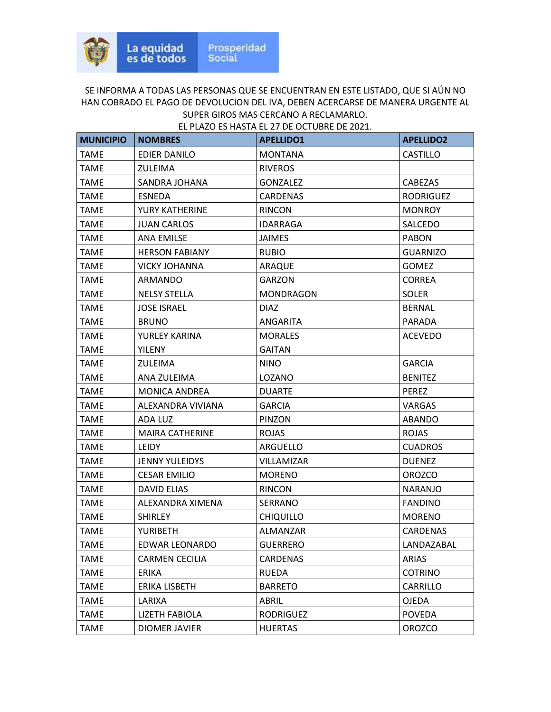| <b>MUNICIPIO</b> | <b>NOMBRES</b>         | <b>APELLIDO1</b> | <b>APELLIDO2</b> |
|------------------|------------------------|------------------|------------------|
| <b>TAME</b>      | EDIER DANILO           | <b>MONTANA</b>   | <b>CASTILLO</b>  |
| <b>TAME</b>      | <b>ZULEIMA</b>         | <b>RIVEROS</b>   |                  |
| TAME             | SANDRA JOHANA          | <b>GONZALEZ</b>  | CABEZAS          |
| <b>TAME</b>      | <b>ESNEDA</b>          | <b>CARDENAS</b>  | <b>RODRIGUEZ</b> |
| <b>TAME</b>      | YURY KATHERINE         | <b>RINCON</b>    | <b>MONROY</b>    |
| <b>TAME</b>      | <b>JUAN CARLOS</b>     | <b>IDARRAGA</b>  | SALCEDO          |
| <b>TAME</b>      | <b>ANA EMILSE</b>      | <b>JAIMES</b>    | <b>PABON</b>     |
| <b>TAME</b>      | <b>HERSON FABIANY</b>  | <b>RUBIO</b>     | <b>GUARNIZO</b>  |
| <b>TAME</b>      | <b>VICKY JOHANNA</b>   | ARAQUE           | <b>GOMEZ</b>     |
| <b>TAME</b>      | ARMANDO                | <b>GARZON</b>    | <b>CORREA</b>    |
| <b>TAME</b>      | <b>NELSY STELLA</b>    | <b>MONDRAGON</b> | <b>SOLER</b>     |
| <b>TAME</b>      | <b>JOSE ISRAEL</b>     | <b>DIAZ</b>      | <b>BERNAL</b>    |
| <b>TAME</b>      | <b>BRUNO</b>           | ANGARITA         | PARADA           |
| <b>TAME</b>      | YURLEY KARINA          | <b>MORALES</b>   | <b>ACEVEDO</b>   |
| TAME             | <b>YILENY</b>          | <b>GAITAN</b>    |                  |
| <b>TAME</b>      | ZULEIMA                | <b>NINO</b>      | <b>GARCIA</b>    |
| TAME             | ANA ZULEIMA            | LOZANO           | <b>BENITEZ</b>   |
| <b>TAME</b>      | MONICA ANDREA          | <b>DUARTE</b>    | <b>PEREZ</b>     |
| <b>TAME</b>      | ALEXANDRA VIVIANA      | <b>GARCIA</b>    | <b>VARGAS</b>    |
| <b>TAME</b>      | ADA LUZ                | PINZON           | ABANDO           |
| TAME             | <b>MAIRA CATHERINE</b> | <b>ROJAS</b>     | <b>ROJAS</b>     |
| TAME             | LEIDY                  | ARGUELLO         | <b>CUADROS</b>   |
| <b>TAME</b>      | <b>JENNY YULEIDYS</b>  | VILLAMIZAR       | <b>DUENEZ</b>    |
| <b>TAME</b>      | <b>CESAR EMILIO</b>    | <b>MORENO</b>    | <b>OROZCO</b>    |
| <b>TAME</b>      | <b>DAVID ELIAS</b>     | <b>RINCON</b>    | <b>NARANJO</b>   |
| <b>TAME</b>      | ALEXANDRA XIMENA       | SERRANO          | <b>FANDINO</b>   |
| TAME             | <b>SHIRLEY</b>         | <b>CHIQUILLO</b> | <b>MORENO</b>    |
| <b>TAME</b>      | <b>YURIBETH</b>        | <b>ALMANZAR</b>  | <b>CARDENAS</b>  |
| <b>TAME</b>      | EDWAR LEONARDO         | <b>GUERRERO</b>  | LANDAZABAL       |
| <b>TAME</b>      | <b>CARMEN CECILIA</b>  | CARDENAS         | ARIAS            |
| <b>TAME</b>      | ERIKA                  | <b>RUEDA</b>     | <b>COTRINO</b>   |
| <b>TAME</b>      | ERIKA LISBETH          | <b>BARRETO</b>   | CARRILLO         |
| <b>TAME</b>      | LARIXA                 | ABRIL            | <b>OJEDA</b>     |
| <b>TAME</b>      | <b>LIZETH FABIOLA</b>  | <b>RODRIGUEZ</b> | <b>POVEDA</b>    |
| <b>TAME</b>      | <b>DIOMER JAVIER</b>   | <b>HUERTAS</b>   | <b>OROZCO</b>    |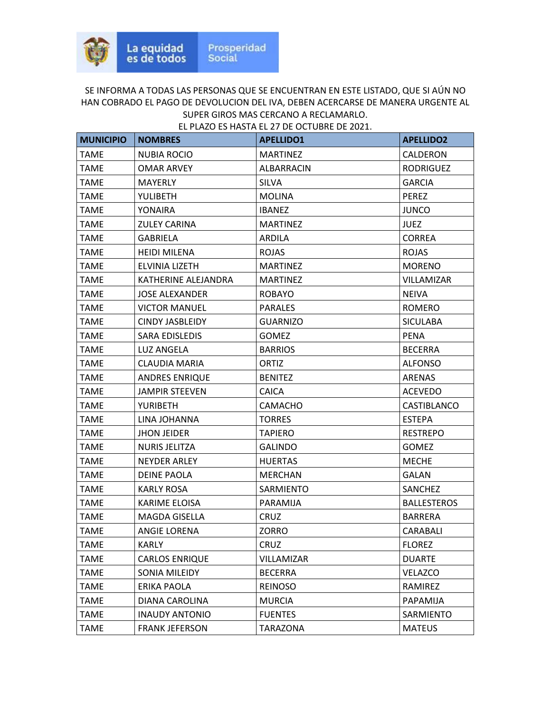| <b>MUNICIPIO</b> | <b>NOMBRES</b>        | <b>APELLIDO1</b> | <b>APELLIDO2</b>   |
|------------------|-----------------------|------------------|--------------------|
| <b>TAME</b>      | <b>NUBIA ROCIO</b>    | <b>MARTINEZ</b>  | CALDERON           |
| <b>TAME</b>      | <b>OMAR ARVEY</b>     | ALBARRACIN       | <b>RODRIGUEZ</b>   |
| TAME             | MAYERLY               | <b>SILVA</b>     | <b>GARCIA</b>      |
| <b>TAME</b>      | YULIBETH              | <b>MOLINA</b>    | PEREZ              |
| <b>TAME</b>      | YONAIRA               | <b>IBANEZ</b>    | <b>JUNCO</b>       |
| <b>TAME</b>      | <b>ZULEY CARINA</b>   | <b>MARTINEZ</b>  | <b>JUEZ</b>        |
| <b>TAME</b>      | <b>GABRIELA</b>       | <b>ARDILA</b>    | <b>CORREA</b>      |
| <b>TAME</b>      | <b>HEIDI MILENA</b>   | <b>ROJAS</b>     | <b>ROJAS</b>       |
| TAME             | ELVINIA LIZETH        | <b>MARTINEZ</b>  | <b>MORENO</b>      |
| TAME             | KATHERINE ALEJANDRA   | <b>MARTINEZ</b>  | VILLAMIZAR         |
| <b>TAME</b>      | <b>JOSE ALEXANDER</b> | <b>ROBAYO</b>    | <b>NEIVA</b>       |
| <b>TAME</b>      | <b>VICTOR MANUEL</b>  | <b>PARALES</b>   | <b>ROMERO</b>      |
| <b>TAME</b>      | CINDY JASBLEIDY       | <b>GUARNIZO</b>  | <b>SICULABA</b>    |
| <b>TAME</b>      | SARA EDISLEDIS        | <b>GOMEZ</b>     | <b>PENA</b>        |
| <b>TAME</b>      | LUZ ANGELA            | <b>BARRIOS</b>   | <b>BECERRA</b>     |
| <b>TAME</b>      | CLAUDIA MARIA         | ORTIZ            | <b>ALFONSO</b>     |
| <b>TAME</b>      | <b>ANDRES ENRIQUE</b> | <b>BENITEZ</b>   | ARENAS             |
| <b>TAME</b>      | <b>JAMPIR STEEVEN</b> | <b>CAICA</b>     | <b>ACEVEDO</b>     |
| <b>TAME</b>      | <b>YURIBETH</b>       | <b>CAMACHO</b>   | CASTIBLANCO        |
| <b>TAME</b>      | LINA JOHANNA          | <b>TORRES</b>    | <b>ESTEPA</b>      |
| TAME             | <b>JHON JEIDER</b>    | <b>TAPIERO</b>   | <b>RESTREPO</b>    |
| TAME             | NURIS JELITZA         | <b>GALINDO</b>   | <b>GOMEZ</b>       |
| <b>TAME</b>      | <b>NEYDER ARLEY</b>   | <b>HUERTAS</b>   | <b>MECHE</b>       |
| TAME             | DEINE PAOLA           | <b>MERCHAN</b>   | GALAN              |
| <b>TAME</b>      | <b>KARLY ROSA</b>     | <b>SARMIENTO</b> | SANCHEZ            |
| <b>TAME</b>      | <b>KARIME ELOISA</b>  | PARAMIJA         | <b>BALLESTEROS</b> |
| TAME             | MAGDA GISELLA         | CRUZ             | <b>BARRERA</b>     |
| <b>TAME</b>      | <b>ANGIE LORENA</b>   | ZORRO            | CARABALI           |
| <b>TAME</b>      | <b>KARLY</b>          | <b>CRUZ</b>      | <b>FLOREZ</b>      |
| <b>TAME</b>      | <b>CARLOS ENRIQUE</b> | VILLAMIZAR       | <b>DUARTE</b>      |
| <b>TAME</b>      | SONIA MILEIDY         | <b>BECERRA</b>   | VELAZCO            |
| <b>TAME</b>      | ERIKA PAOLA           | <b>REINOSO</b>   | RAMIREZ            |
| <b>TAME</b>      | DIANA CAROLINA        | <b>MURCIA</b>    | PAPAMIJA           |
| <b>TAME</b>      | <b>INAUDY ANTONIO</b> | <b>FUENTES</b>   | SARMIENTO          |
| <b>TAME</b>      | <b>FRANK JEFERSON</b> | TARAZONA         | <b>MATEUS</b>      |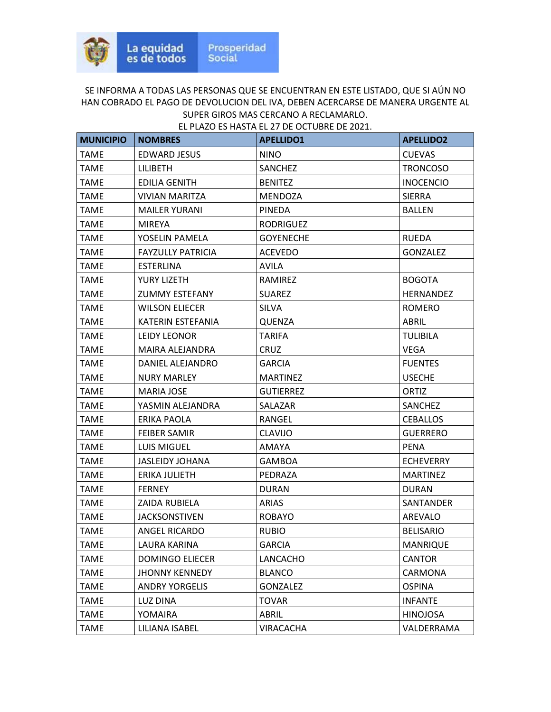| <b>MUNICIPIO</b> | <b>NOMBRES</b>           | <b>APELLIDO1</b> | <b>APELLIDO2</b> |
|------------------|--------------------------|------------------|------------------|
| <b>TAME</b>      | <b>EDWARD JESUS</b>      | <b>NINO</b>      | <b>CUEVAS</b>    |
| <b>TAME</b>      | <b>LILIBETH</b>          | <b>SANCHEZ</b>   | <b>TRONCOSO</b>  |
| <b>TAME</b>      | <b>EDILIA GENITH</b>     | <b>BENITEZ</b>   | <b>INOCENCIO</b> |
| TAME             | <b>VIVIAN MARITZA</b>    | MENDOZA          | <b>SIERRA</b>    |
| TAME             | <b>MAILER YURANI</b>     | <b>PINEDA</b>    | <b>BALLEN</b>    |
| <b>TAME</b>      | <b>MIREYA</b>            | <b>RODRIGUEZ</b> |                  |
| TAME             | YOSELIN PAMELA           | <b>GOYENECHE</b> | <b>RUEDA</b>     |
| <b>TAME</b>      | <b>FAYZULLY PATRICIA</b> | <b>ACEVEDO</b>   | <b>GONZALEZ</b>  |
| TAME             | <b>ESTERLINA</b>         | <b>AVILA</b>     |                  |
| TAME             | YURY LIZETH              | RAMIREZ          | <b>BOGOTA</b>    |
| <b>TAME</b>      | <b>ZUMMY ESTEFANY</b>    | <b>SUAREZ</b>    | HERNANDEZ        |
| <b>TAME</b>      | <b>WILSON ELIECER</b>    | <b>SILVA</b>     | <b>ROMERO</b>    |
| <b>TAME</b>      | KATERIN ESTEFANIA        | QUENZA           | ABRIL            |
| <b>TAME</b>      | <b>LEIDY LEONOR</b>      | <b>TARIFA</b>    | <b>TULIBILA</b>  |
| TAME             | MAIRA ALEJANDRA          | CRUZ             | VEGA             |
| TAME             | DANIEL ALEJANDRO         | <b>GARCIA</b>    | <b>FUENTES</b>   |
| <b>TAME</b>      | <b>NURY MARLEY</b>       | <b>MARTINEZ</b>  | <b>USECHE</b>    |
| <b>TAME</b>      | <b>MARIA JOSE</b>        | <b>GUTIERREZ</b> | ORTIZ            |
| <b>TAME</b>      | YASMIN ALEJANDRA         | SALAZAR          | SANCHEZ          |
| <b>TAME</b>      | ERIKA PAOLA              | RANGEL           | <b>CEBALLOS</b>  |
| TAME             | FEIBER SAMIR             | CLAVIJO          | <b>GUERRERO</b>  |
| TAME             | <b>LUIS MIGUEL</b>       | AMAYA            | <b>PENA</b>      |
| <b>TAME</b>      | <b>JASLEIDY JOHANA</b>   | <b>GAMBOA</b>    | <b>ECHEVERRY</b> |
| <b>TAME</b>      | ERIKA JULIETH            | PEDRAZA          | <b>MARTINEZ</b>  |
| <b>TAME</b>      | <b>FERNEY</b>            | <b>DURAN</b>     | <b>DURAN</b>     |
| <b>TAME</b>      | <b>ZAIDA RUBIELA</b>     | <b>ARIAS</b>     | SANTANDER        |
| <b>TAME</b>      | <b>JACKSONSTIVEN</b>     | <b>ROBAYO</b>    | AREVALO          |
| <b>TAME</b>      | ANGEL RICARDO            | <b>RUBIO</b>     | <b>BELISARIO</b> |
| <b>TAME</b>      | LAURA KARINA             | <b>GARCIA</b>    | <b>MANRIQUE</b>  |
| <b>TAME</b>      | <b>DOMINGO ELIECER</b>   | LANCACHO         | <b>CANTOR</b>    |
| TAME             | <b>JHONNY KENNEDY</b>    | <b>BLANCO</b>    | <b>CARMONA</b>   |
| <b>TAME</b>      | <b>ANDRY YORGELIS</b>    | <b>GONZALEZ</b>  | <b>OSPINA</b>    |
| <b>TAME</b>      | LUZ DINA                 | <b>TOVAR</b>     | <b>INFANTE</b>   |
| <b>TAME</b>      | YOMAIRA                  | ABRIL            | <b>HINOJOSA</b>  |
| <b>TAME</b>      | LILIANA ISABEL           | <b>VIRACACHA</b> | VALDERRAMA       |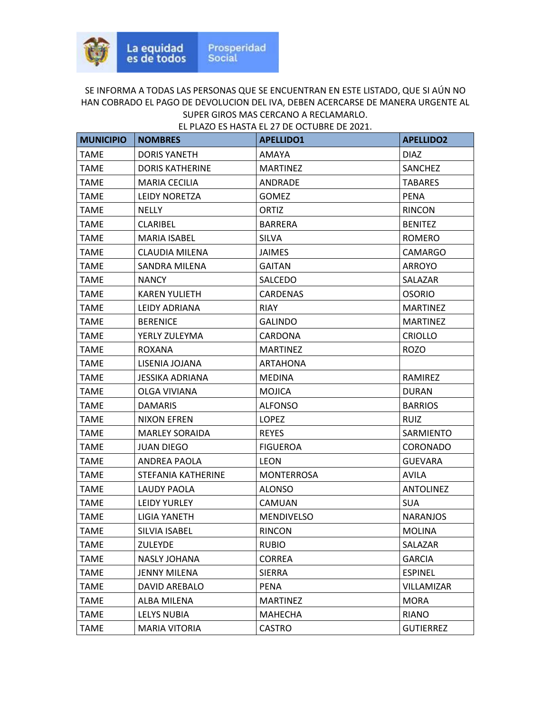| <b>MUNICIPIO</b> | <b>NOMBRES</b>         | <b>APELLIDO1</b>  | <b>APELLIDO2</b> |
|------------------|------------------------|-------------------|------------------|
| <b>TAME</b>      | <b>DORIS YANETH</b>    | AMAYA             | <b>DIAZ</b>      |
| <b>TAME</b>      | <b>DORIS KATHERINE</b> | <b>MARTINEZ</b>   | <b>SANCHEZ</b>   |
| TAME             | <b>MARIA CECILIA</b>   | ANDRADE           | <b>TABARES</b>   |
| <b>TAME</b>      | <b>LEIDY NORETZA</b>   | <b>GOMEZ</b>      | <b>PENA</b>      |
| <b>TAME</b>      | <b>NELLY</b>           | ORTIZ             | <b>RINCON</b>    |
| <b>TAME</b>      | CLARIBEL               | <b>BARRERA</b>    | <b>BENITEZ</b>   |
| <b>TAME</b>      | <b>MARIA ISABEL</b>    | <b>SILVA</b>      | <b>ROMERO</b>    |
| <b>TAME</b>      | CLAUDIA MILENA         | <b>JAIMES</b>     | CAMARGO          |
| <b>TAME</b>      | SANDRA MILENA          | <b>GAITAN</b>     | <b>ARROYO</b>    |
| TAME             | <b>NANCY</b>           | SALCEDO           | SALAZAR          |
| <b>TAME</b>      | <b>KAREN YULIETH</b>   | <b>CARDENAS</b>   | <b>OSORIO</b>    |
| <b>TAME</b>      | LEIDY ADRIANA          | <b>RIAY</b>       | <b>MARTINEZ</b>  |
| <b>TAME</b>      | <b>BERENICE</b>        | <b>GALINDO</b>    | <b>MARTINEZ</b>  |
| <b>TAME</b>      | YERLY ZULEYMA          | CARDONA           | <b>CRIOLLO</b>   |
| TAME             | ROXANA                 | <b>MARTINEZ</b>   | <b>ROZO</b>      |
| <b>TAME</b>      | LISENIA JOJANA         | <b>ARTAHONA</b>   |                  |
| TAME             | JESSIKA ADRIANA        | <b>MEDINA</b>     | RAMIREZ          |
| <b>TAME</b>      | OLGA VIVIANA           | <b>MOJICA</b>     | <b>DURAN</b>     |
| <b>TAME</b>      | <b>DAMARIS</b>         | <b>ALFONSO</b>    | <b>BARRIOS</b>   |
| <b>TAME</b>      | <b>NIXON EFREN</b>     | <b>LOPEZ</b>      | <b>RUIZ</b>      |
| TAME             | <b>MARLEY SORAIDA</b>  | <b>REYES</b>      | SARMIENTO        |
| TAME             | <b>JUAN DIEGO</b>      | <b>FIGUEROA</b>   | <b>CORONADO</b>  |
| <b>TAME</b>      | ANDREA PAOLA           | <b>LEON</b>       | <b>GUEVARA</b>   |
| <b>TAME</b>      | STEFANIA KATHERINE     | <b>MONTERROSA</b> | AVILA            |
| <b>TAME</b>      | LAUDY PAOLA            | <b>ALONSO</b>     | <b>ANTOLINEZ</b> |
| <b>TAME</b>      | <b>LEIDY YURLEY</b>    | CAMUAN            | <b>SUA</b>       |
| TAME             | LIGIA YANETH           | <b>MENDIVELSO</b> | <b>NARANJOS</b>  |
| <b>TAME</b>      | <b>SILVIA ISABEL</b>   | <b>RINCON</b>     | <b>MOLINA</b>    |
| <b>TAME</b>      | <b>ZULEYDE</b>         | <b>RUBIO</b>      | SALAZAR          |
| <b>TAME</b>      | NASLY JOHANA           | CORREA            | <b>GARCIA</b>    |
| <b>TAME</b>      | <b>JENNY MILENA</b>    | <b>SIERRA</b>     | <b>ESPINEL</b>   |
| <b>TAME</b>      | DAVID AREBALO          | <b>PENA</b>       | VILLAMIZAR       |
| <b>TAME</b>      | ALBA MILENA            | <b>MARTINEZ</b>   | <b>MORA</b>      |
| <b>TAME</b>      | LELYS NUBIA            | MAHECHA           | <b>RIANO</b>     |
| <b>TAME</b>      | <b>MARIA VITORIA</b>   | <b>CASTRO</b>     | <b>GUTIERREZ</b> |